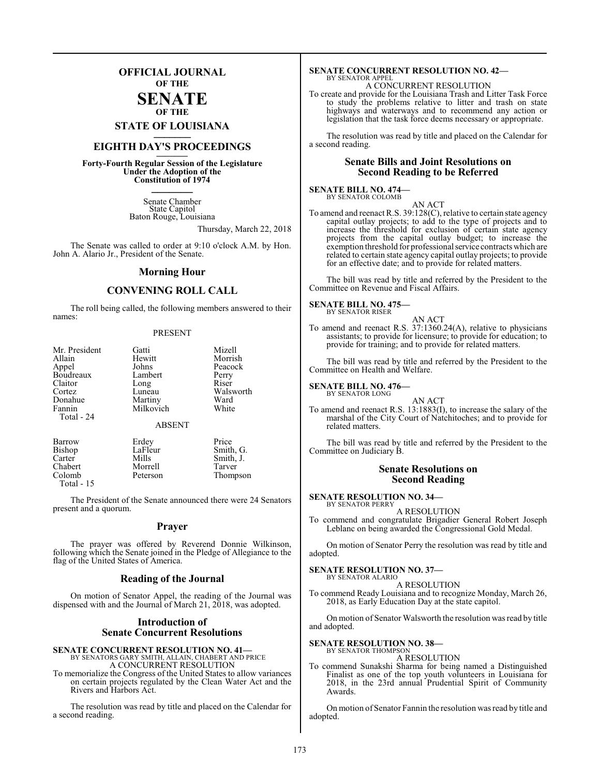# **OFFICIAL JOURNAL OF THE**

# **SENATE OF THE**

**STATE OF LOUISIANA \_\_\_\_\_\_\_**

# **EIGHTH DAY'S PROCEEDINGS \_\_\_\_\_\_\_**

**Forty-Fourth Regular Session of the Legislature Under the Adoption of the Constitution of 1974 \_\_\_\_\_\_\_**

> Senate Chamber State Capitol Baton Rouge, Louisiana

> > Thursday, March 22, 2018

Thompson

The Senate was called to order at 9:10 o'clock A.M. by Hon. John A. Alario Jr., President of the Senate.

# **Morning Hour**

# **CONVENING ROLL CALL**

The roll being called, the following members answered to their names:

# PRESENT

| Mr. President | Gatti         | Mizell    |
|---------------|---------------|-----------|
| Allain        | Hewitt        | Morrish   |
| Appel         | Johns         | Peacock   |
| Boudreaux     | Lambert       | Perry     |
|               |               |           |
| Claitor       | Long          | Riser     |
| Cortez        | Luneau        | Walsworth |
| Donahue       | Martiny       | Ward      |
| Fannin        | Milkovich     | White     |
| Total - 24    |               |           |
|               | <b>ABSENT</b> |           |
| Barrow        | Erdey         | Price     |
| <b>Bishop</b> | LaFleur       | Smith, G. |
| Carter        | Mills         | Smith, J. |
| Chabert       | Morrell       | Tarver    |
|               |               |           |

Chabert Morrell<br>Colomb Peterson

Total - 15

The President of the Senate announced there were 24 Senators present and a quorum.

# **Prayer**

The prayer was offered by Reverend Donnie Wilkinson, following which the Senate joined in the Pledge of Allegiance to the flag of the United States of America.

# **Reading of the Journal**

On motion of Senator Appel, the reading of the Journal was dispensed with and the Journal of March 21, 2018, was adopted.

# **Introduction of Senate Concurrent Resolutions**

# **SENATE CONCURRENT RESOLUTION NO. 41—**<br>BY SENATORS GARY SMITH, ALLAIN, CHABERT AND PRICE<br>A CONCURRENT RESOLUTION

To memorialize the Congress of the United States to allow variances on certain projects regulated by the Clean Water Act and the Rivers and Harbors Act.

The resolution was read by title and placed on the Calendar for a second reading.

# **SENATE CONCURRENT RESOLUTION NO. 42—** BY SENATOR APPEL

A CONCURRENT RESOLUTION

To create and provide for the Louisiana Trash and Litter Task Force to study the problems relative to litter and trash on state highways and waterways and to recommend any action or legislation that the task force deems necessary or appropriate.

The resolution was read by title and placed on the Calendar for a second reading.

# **Senate Bills and Joint Resolutions on Second Reading to be Referred**

#### **SENATE BILL NO. 474—** BY SENATOR COLOMB

AN ACT

To amend and reenact R.S. 39:128(C), relative to certain state agency capital outlay projects; to add to the type of projects and to increase the threshold for exclusion of certain state agency projects from the capital outlay budget; to increase the exemption threshold for professionalservice contracts which are related to certain state agency capital outlay projects; to provide for an effective date; and to provide for related matters.

The bill was read by title and referred by the President to the Committee on Revenue and Fiscal Affairs.

#### **SENATE BILL NO. 475—** BY SENATOR RISER

AN ACT

To amend and reenact R.S. 37:1360.24(A), relative to physicians assistants; to provide for licensure; to provide for education; to provide for training; and to provide for related matters.

The bill was read by title and referred by the President to the Committee on Health and Welfare.

# **SENATE BILL NO. 476—**

BY SENATOR LONG

AN ACT To amend and reenact R.S. 13:1883(I), to increase the salary of the marshal of the City Court of Natchitoches; and to provide for related matters.

The bill was read by title and referred by the President to the Committee on Judiciary B.

# **Senate Resolutions on Second Reading**

#### **SENATE RESOLUTION NO. 34—** BY SENATOR PERRY

A RESOLUTION

To commend and congratulate Brigadier General Robert Joseph Leblanc on being awarded the Congressional Gold Medal.

On motion of Senator Perry the resolution was read by title and adopted.

# **SENATE RESOLUTION NO. 37—**

BY SENATOR ALARIO A RESOLUTION

To commend Ready Louisiana and to recognize Monday, March 26, 2018, as Early Education Day at the state capitol.

On motion of Senator Walsworth the resolution was read by title and adopted.

# **SENATE RESOLUTION NO. 38—** BY SENATOR THOMPSON

A RESOLUTION

To commend Sunakshi Sharma for being named a Distinguished Finalist as one of the top youth volunteers in Louisiana for 2018, in the 23rd annual Prudential Spirit of Community Awards.

On motion of Senator Fannin the resolution was read by title and adopted.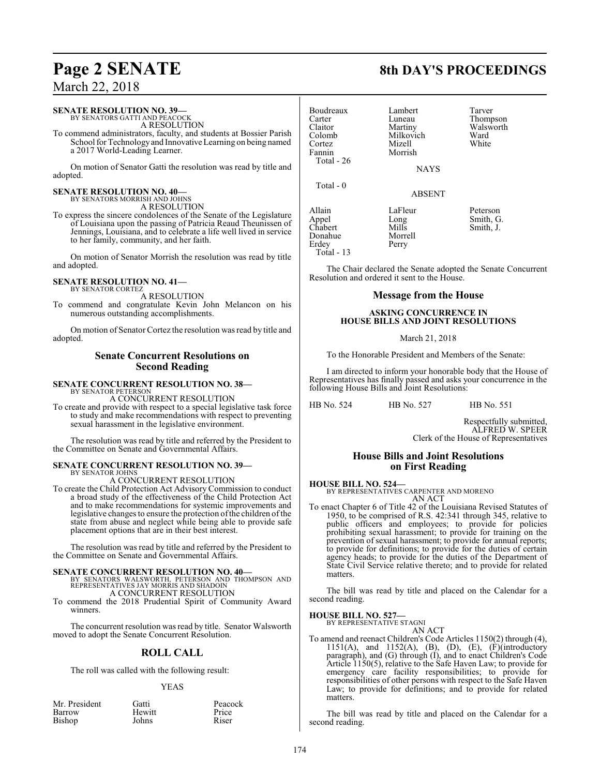# **SENATE RESOLUTION NO. 39—**

BY SENATORS GATTI AND PEACOCK A RESOLUTION

To commend administrators, faculty, and students at Bossier Parish School for Technologyand Innovative Learning on being named a 2017 World-Leading Learner.

On motion of Senator Gatti the resolution was read by title and adopted.

# **SENATE RESOLUTION NO. 40—** BY SENATORS MORRISH AND JOHNS

A RESOLUTION

To express the sincere condolences of the Senate of the Legislature of Louisiana upon the passing of Patricia Reaud Theunissen of Jennings, Louisiana, and to celebrate a life well lived in service to her family, community, and her faith.

On motion of Senator Morrish the resolution was read by title and adopted.

#### **SENATE RESOLUTION NO. 41—** BY SENATOR CORTEZ

A RESOLUTION

To commend and congratulate Kevin John Melancon on his numerous outstanding accomplishments.

On motion of Senator Cortez the resolution was read by title and adopted.

# **Senate Concurrent Resolutions on Second Reading**

# **SENATE CONCURRENT RESOLUTION NO. 38—** BY SENATOR PETERSON

A CONCURRENT RESOLUTION

To create and provide with respect to a special legislative task force to study and make recommendations with respect to preventing sexual harassment in the legislative environment.

The resolution was read by title and referred by the President to the Committee on Senate and Governmental Affairs.

# **SENATE CONCURRENT RESOLUTION NO. 39—** BY SENATOR JOHNS

A CONCURRENT RESOLUTION

To create the Child Protection Act Advisory Commission to conduct a broad study of the effectiveness of the Child Protection Act and to make recommendations for systemic improvements and legislative changes to ensure the protection of the children of the state from abuse and neglect while being able to provide safe placement options that are in their best interest.

The resolution was read by title and referred by the President to the Committee on Senate and Governmental Affairs.

**SENATE CONCURRENT RESOLUTION NO. 40—**<br>BY SENATORS WALSWORTH, PETERSON AND THOMPSON AND REPRESENTATIVES JAY MORRIS AND SHADOIN A CONCURRENT RESOLUTION

To commend the 2018 Prudential Spirit of Community Award winners.

The concurrent resolution was read by title. Senator Walsworth moved to adopt the Senate Concurrent Resolution.

# **ROLL CALL**

The roll was called with the following result:

# YEAS

| Mr. President | Gatti  | Peacock |
|---------------|--------|---------|
| Barrow        | Hewitt | Price   |
| Bishop        | Johns  | Riser   |
|               |        |         |

# Claitor Martiny Walsworth<br>Colomb Milkovich Ward Milkovich Ward<br>
Mizell White Cortez<br>Fannin Morrish Total - 26 **NAYS**  Total - 0 Allain LaFleur Peterson<br>Appel Long Smith, G Appel Long Smith, G.<br>Chabert Mills Smith, J. Donahue Morre<br>Erdey Perry Erdey

Boudreaux Lambert Tarver<br>Carter Luneau Thomp Carter Luneau Thompson<br>Claitor Martiny Walsworth

ABSENT

Total - 13

Mills Smith, J.<br>Morrell

The Chair declared the Senate adopted the Senate Concurrent Resolution and ordered it sent to the House.

# **Message from the House**

# **ASKING CONCURRENCE IN HOUSE BILLS AND JOINT RESOLUTIONS**

March 21, 2018

To the Honorable President and Members of the Senate:

I am directed to inform your honorable body that the House of Representatives has finally passed and asks your concurrence in the following House Bills and Joint Resolutions:

HB No. 524 HB No. 527 HB No. 551

Respectfully submitted, ALFRED W. SPEER Clerk of the House of Representatives

# **House Bills and Joint Resolutions on First Reading**

**HOUSE BILL NO. 524—**

BY REPRESENTATIVES CARPENTER AND MORENO AN ACT

To enact Chapter 6 of Title 42 of the Louisiana Revised Statutes of 1950, to be comprised of R.S. 42:341 through 345, relative to public officers and employees; to provide for policies prohibiting sexual harassment; to provide for training on the prevention of sexual harassment; to provide for annual reports; to provide for definitions; to provide for the duties of certain agency heads; to provide for the duties of the Department of State Civil Service relative thereto; and to provide for related matters.

The bill was read by title and placed on the Calendar for a second reading.

**HOUSE BILL NO. 527—**

BY REPRESENTATIVE STAGNI AN ACT

To amend and reenact Children's Code Articles 1150(2) through (4), 1151(A), and 1152(A), (B), (D), (E), (F)(introductory paragraph), and (G) through (I), and to enact Children's Code Article 1150(5), relative to the Safe Haven Law; to provide for emergency care facility responsibilities; to provide for responsibilities of other persons with respect to the Safe Haven Law; to provide for definitions; and to provide for related matters.

The bill was read by title and placed on the Calendar for a second reading.

# **Page 2 SENATE 8th DAY'S PROCEEDINGS**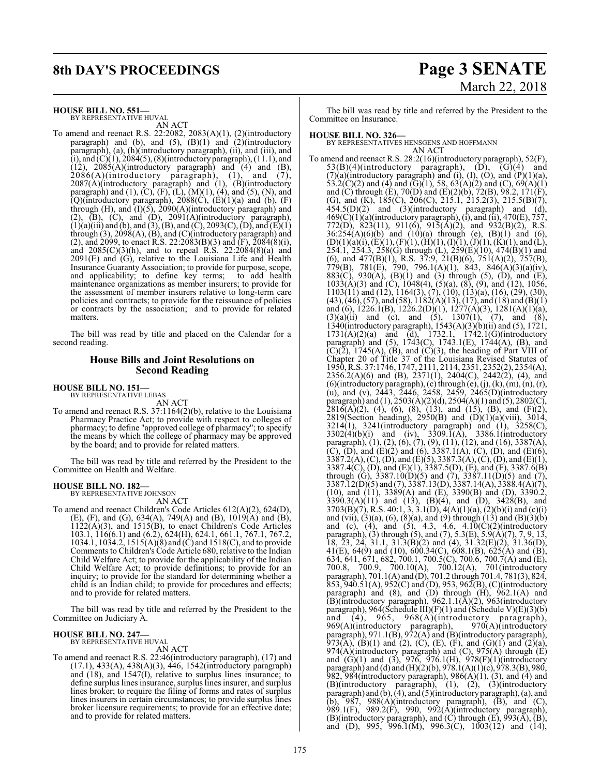# **8th DAY'S PROCEEDINGS Page 3 SENATE**

# March 22, 2018

**HOUSE BILL NO. 551—**

BY REPRESENTATIVE HUVAL AN ACT

To amend and reenact R.S. 22:2082, 2083(A)(1), (2)(introductory paragraph) and (b), and  $(5)$ ,  $(B)(1)$  and  $(2)$ (introductory paragraph), (a), (h)(introductory paragraph), (ii), and (iii), and (i), and  $(C)(1)$ , 2084(5), (8)(introductory paragraph), (11.1), and  $(12)$ ,  $2085(A)$ (introductory paragraph) and  $(4)$  and  $(B)$ ,  $2086(A)$ (introductory paragraph), (1), and (7), 2087(A)(introductory paragraph) and (1), (B)(introductory paragraph) and  $(1)$ ,  $(C)$ ,  $(F)$ ,  $(L)$ ,  $(M)(1)$ ,  $(4)$ , and  $(5)$ ,  $(N)$ , and  $(Q)$ (introductory paragraph), 2088 $(C)$ ,  $(E)(1)(a)$  and  $(b)$ ,  $(F)$ through  $(H)$ , and  $(I)(5)$ , 2090 $(A)(introductiony$  paragraph) and  $(2)$ ,  $(B)$ ,  $(C)$ , and  $(D)$ ,  $2091(A)$ (introductory paragraph),  $(1)(a)(iii)$  and  $(b)$ , and  $(3)$ ,  $(B)$ , and  $(C)$ , 2093 $(C)$ ,  $(D)$ , and  $(E)(1)$ through (3), 2098(A), (B), and (C)(introductory paragraph) and (2), and 2099, to enact R.S. 22:2083(B)(3) and  $(F)$ ,  $\overline{2084(8)(i)}$ , and  $2085(C)(3)(h)$ , and to repeal R.S.  $22:2084(8)(a)$  and  $2091(E)$  and  $(G)$ , relative to the Louisiana Life and Health Insurance Guaranty Association; to provide for purpose, scope, and applicability; to define key terms; maintenance organizations as member insurers; to provide for the assessment of member insurers relative to long-term care policies and contracts; to provide for the reissuance of policies or contracts by the association; and to provide for related matters.

The bill was read by title and placed on the Calendar for a second reading.

# **House Bills and Joint Resolutions on Second Reading**

**HOUSE BILL NO. 151—** BY REPRESENTATIVE LEBAS

AN ACT

To amend and reenact R.S. 37:1164(2)(b), relative to the Louisiana Pharmacy Practice Act; to provide with respect to colleges of pharmacy; to define "approved college of pharmacy"; to specify the means by which the college of pharmacy may be approved by the board; and to provide for related matters.

The bill was read by title and referred by the President to the Committee on Health and Welfare.

# **HOUSE BILL NO. 182—**

BY REPRESENTATIVE JOHNSON AN ACT

To amend and reenact Children's Code Articles 612(A)(2), 624(D), (E), (F), and (G), 634(A), 749(A) and (B), 1019(A) and (B),  $1122(A)(3)$ , and  $1515(B)$ , to enact Children's Code Articles 103.1, 116(6.1) and (6.2), 624(H), 624.1, 661.1, 767.1, 767.2, 1034.1, 1034.2, 1515(A)(8) and (C) and 1518(C), and to provide Comments to Children's Code Article 680, relative to the Indian Child Welfare Act; to provide for the applicability of the Indian Child Welfare Act; to provide definitions; to provide for an inquiry; to provide for the standard for determining whether a child is an Indian child; to provide for procedures and effects; and to provide for related matters.

The bill was read by title and referred by the President to the Committee on Judiciary A.

# **HOUSE BILL NO. 247—** BY REPRESENTATIVE HUVAL

AN ACT

To amend and reenact R.S. 22:46(introductory paragraph), (17) and (17.1), 433(A), 438(A)(3), 446, 1542(introductory paragraph) and (18), and 1547(I), relative to surplus lines insurance; to define surplus lines insurance, surplus lines insurer, and surplus lines broker; to require the filing of forms and rates of surplus lines insurers in certain circumstances; to provide surplus lines broker licensure requirements; to provide for an effective date; and to provide for related matters.

The bill was read by title and referred by the President to the Committee on Insurance.

# **HOUSE BILL NO. 326—**

BY REPRESENTATIVES HENSGENS AND HOFFMANN AN ACT

To amend and reenact R.S. 28:2(16)(introductory paragraph), 52(F),  $53(B)(4)(introductory paragraph), (D), (G)(4) and$  $(7)(a)$ (introductory paragraph) and (i), (I), (O), and  $(P)(1)(a)$ , 53.2(C)(2) and (4) and (G)(1), 58, 63(A)(2) and (C),  $69(A)(1)$ and (C) through (E), 70(D) and (E)(2)(b), 72(B), 98.2, 171(F), (G), and (K),  $185(C)$ ,  $206(C)$ ,  $215.1$ ,  $215.2(3)$ ,  $215.5(B)(7)$ ,  $454.5(D)(2)$  and  $(3)(introducing$  paragraph) and  $(d)$ ,  $469(C)(1)(a)$ (introductory paragraph), (i), and (ii),  $470(E)$ ,  $757$ , 772(D), 823(11), 911(6), 915(A)(2), and 932(B)(2), R.S.  $36:254(A)(6)(b)$  and  $(10)(a)$  through (e),  $(B)(1)$  and  $(6)$ ,  $(D)(1)(a)(i), (E)(1), (F)(1), (H)(1), (I)(1), (J)(1), (K)(1),$  and  $(L)$ , 254.1, 254.3, 258(G) through (L), 259(E)(10), 474(B)(1) and (6), and 477(B)(1), R.S. 37:9, 21(B)(6), 751(A)(2), 757(B), 779(B), 781(E), 790, 796.1(A)(1), 843, 846(A)(3)(a)(iv), 883(C), 930(A), (B)(1) and (3) through (5), (D), and (E), 1033(A)(3) and (C), 1048(4), (5)(a), (8), (9), and (12), 1056, 1103(11) and (12), 1164(3), (7), (10), (13)(a), (16), (29), (30),  $(43)$ ,  $(46)$ ,  $(57)$ , and  $(58)$ ,  $1182(A)(13)$ ,  $(17)$ , and  $(18)$  and  $(B)(1)$ and (6), 1226.1(B), 1226.2(D)(1), 1277(A)(3), 1281(A)(1)(a),  $(3)(a)(ii)$  and (c), and (5), 1307(1), (7), and (8), 1340(introductory paragraph), 1543(A)(3)(b)(ii) and (5), 1721, 1731(A)(2)(a) and (d), 1732.1, 1742.1(G)(introductory paragraph) and (5), 1743(C), 1743.1(E), 1744(A), (B), and  $(C)(\overline{2})$ , 1745(A),  $(B)$ , and  $(C)(3)$ , the heading of Part VIII of Chapter 20 of Title 37 of the Louisiana Revised Statutes of 1950, R.S. 37:1746, 1747, 2111, 2114, 2351, 2352(2), 2354(A), 2356.2(A)(6) and (B), 2371(1), 2404(C), 2442(2), (4), and  $(6)$ (introductory paragraph),  $(c)$  through  $(e)$ ,  $(j)$ ,  $(k)$ ,  $(m)$ ,  $(n)$ ,  $(r)$ , (u), and (v), 2443, 2446, 2458, 2459, 2465(D)(introductory paragraph) and (1), 2503(A)(2)(d), 2504(A)(1) and (5), 2802(C),  $2816(A)(2)$ , (4), (6), (8), (13), and (15), (B), and (F)(2), 2819(Section heading), 2950(B) and (D)(1)(a)(viii), 3014, 3214(1), 3241(introductory paragraph) and (1), 3258(C),  $3302(4)(b)(i)$  and (iv),  $3309.\overline{1}(A)$ ,  $3386.1(introductor)$ paragraph), (1), (2), (6), (7), (9), (11), (12), and (16), 3387(A), (C), (D), and (E)(2) and (6),  $3387.1(A)$ , (C), (D), and (E)(6),  $3387.2(A), (C), (D),$  and  $(E)(5), 3387.3(A), (C), (D),$  and  $(E)(1),$ 3387.4(C), (D), and (E)(1), 3387.5(D), (E), and (F), 3387.6(B) through (G),  $3387.10(D)(5)$  and (7),  $3387.11(D)(5)$  and (7), 3387.12(D)(5) and (7), 3387.13(D), 3387.14(A), 3388.4(A)(7), (10), and (11), 3389(A) and (E), 3390(B) and (D), 3390.2,  $3390.3(A)(11)$  and  $(13)$ ,  $(B)(4)$ , and  $(D)$ ,  $3428(B)$ , and 3703(B)(7), R.S. 40:1, 3, 3.1(D), 4(A)(1)(a), (2)(b)(i) and (c)(i) and (vii),  $(3)(a)$ ,  $(6)$ ,  $(8)(a)$ , and  $(9)$  through  $(13)$  and  $(B)(3)(b)$ and (c), (4), and (5), 4.3, 4.6, 4.10(C)(2)(introductory paragraph), (3) through (5), and (7), 5.3(E), 5.9(A)(7), 7, 9, 13, 18,  $\overline{23}$ ,  $\overline{24}$ ,  $\overline{31}$ .1,  $\overline{31}$ ,  $\overline{3(B)}$ (2) and (4),  $\overline{31}$ ,  $\overline{32(E)}$ (2),  $\overline{31}$ ,  $\overline{36(D)}$ , 41(E), 64(9) and (10), 600.34(C), 608.1(B), 625(A) and (B), 634, 641, 671, 682, 700.1, 700.5(C), 700.6, 700.7(A) and (E), 700.8, 700.9, 700.10(A), 700.12(A), 701(introductory paragraph), 701.1(A) and (D), 701.2 through 701.4, 781(3), 824, 853, 940.51(A), 952(C) and (D), 953, 962(B), (C)(introductory paragraph) and (8), and (D) through (H), 962.1(A) and (B)(introductory paragraph), 962.1.1(A)(2), 963(introductory paragraph), 964(Schedule III)(F)(1) and (Schedule V)(E)(3)(b) and (4), 965, 968(A)(introductory paragraph), 969(A)(introductory paragraph), 970(A)(introductory paragraph), 971.1(B), 972(A) and (B)(introductory paragraph), 973(A), (B)(1) and (2), (C), (E), (F), and (G)(1) and (2)(a), 974(A)(introductory paragraph) and  $(C)$ , 975(A) through  $(E)$ and  $(G)(1)$  and  $(3)$ , 976, 976.1(H), 978(F)(1)(introductory paragraph) and (d) and (H)(2)(b), 978.1(A)(1)(c), 978.3(B), 980, 982, 984(introductory paragraph),  $986(A)(1)$ ,  $(3)$ , and  $(4)$  and (B)(introductory paragraph), (1), (2), (3)(introductory paragraph) and (b), (4), and (5)(introductory paragraph),(a), and (b),  $987$ ,  $988(A)$ (introductory paragraph), (B), and (C), 989.1(F), 989.2(F), 990, 992(A)(introductory paragraph), (B)(introductory paragraph), and  $(C)$  through  $(E)$ , 993 $(A)$ ,  $(B)$ , and (D), 995, 996.1(M), 996.3(C), 1003(12) and (14),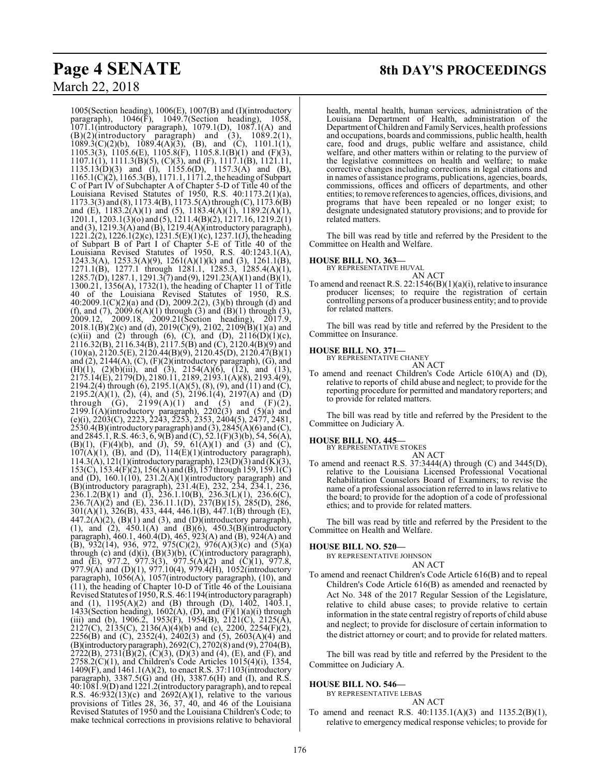# **Page 4 SENATE 8th DAY'S PROCEEDINGS**

March 22, 2018

1005(Section heading), 1006(E), 1007(B) and (I)(introductory paragraph), 1046(F), 1049.7(Section heading), 1058, 1071.1(introductory paragraph), 1079.1(D), 1087.1(A) and  $(B)(2)$ (introductory paragraph) and  $(3)$ ,  $1089.2(1)$ ,  $1089.3(C)(2)(b)$ ,  $1089.4(A)(3)$ , (B), and (C),  $1101.1(1)$ , 1105.3(3), 1105.6(E), 1105.8(F), 1105.8.1(B)(1) and (F)(3),  $1107.1(1)$ ,  $1111.3(B)(5)$ ,  $(C)(3)$ , and  $(F)$ ,  $1117.1(B)$ ,  $1121.11$ , 1135.13(D)(3) and (I), 1155.6(D), 1157.3(A) and (B), 1165.1(C)(2), 1165.3(B), 1171.1, 1171.2, the heading ofSubpart C of Part IV of Subchapter A of Chapter 5-D of Title 40 of the Louisiana Revised Statutes of 1950, R.S. 40:1173.2(1)(a), 1173.3(3) and (8), 1173.4(B), 1173.5(A) through (C), 1173.6(B) and (E), 1183.2(A)(1) and (5), 1183.4(A)(1), 1189.2(A)(1), 1201.1, 1203.1(3)(o) and (5), 1211.4(B)(2), 1217.16, 1219.2(1) and (3), 1219.3(A) and (B), 1219.4(A)(introductory paragraph), 1221.2(2), 1226.1(2)(c), 1231.5(E)(1)(c), 1237.1(J), the heading of Subpart B of Part I of Chapter 5-E of Title 40 of the Louisiana Revised Statutes of 1950, R.S. 40:1243.1(A), 1243.3(A), 1253.3(A)(9), 1261(A)(1)(k) and (3), 1261.1(B), 1271.1(B), 1277.1 through 1281.1, 1285.3, 1285.4(A)(1), 1285.7(D), 1287.1, 1291.3(7) and (9), 1291.23(A)(1) and (B)(1), 1300.21, 1356(A), 1732(1), the heading of Chapter 11 of Title 40 of the Louisiana Revised Statutes of 1950, R.S. 40:2009.1(C)(2)(a) and (D), 2009.2(2), (3)(b) through (d) and (f), and (7),  $2009.6(A)(1)$  through (3) and (B)(1) through (3), 2009.12, 2009.18, 2009.21(Section heading), 2017.9, 2018.1(B)(2)(c) and (d), 2019(C)(9), 2102, 2109(B)(1)(a) and (c)(ii) and (2) through (6), (C), and (D),  $2116(D)(1)(c)$ , 2116.32(B), 2116.34(B), 2117.5(B) and (C), 2120.4(B)(9) and  $(10)(a)$ ,  $2120.5(E)$ ,  $2120.44(B)(9)$ ,  $2120.45(D)$ ,  $2120.47(B)(1)$ and  $(2)$ , 2144(A),  $(C)$ ,  $(F)(2)$ (introductory paragraph),  $(G)$ , and (H)(1), (2)(b)(iii), and (3), 2154(A)(6), (12), and (13), 2175.14(E), 2179(D), 2180.11, 2189, 2193.1(A)(8), 2193.4(9), 2194.2(4) through (6), 2195.1(A)(5), (8), (9), and (11) and (C),  $2195.2(A)(1)$ ,  $(\bar{2})$ ,  $(\bar{4})$ , and  $(\bar{5})$ ,  $2196.1(\bar{4})$ ,  $2197(A)$  and  $(\bar{D})$ through (G),  $2199(A)(1)$  and (5) and (F)(2),  $2199.1(A)$ (introductory paragraph),  $2202(3)$  and  $(5)(a)$  and (e)(i), 2203(C), 2223, 2243, 2253, 2353, 2404(5), 2477, 2481,  $2530.4(B)$ (introductory paragraph) and (3),  $2845(A)(6)$  and (C), and 2845.1, R.S. 46:3, 6, 9(B) and (C),  $52.1(F)(3)(b)$ , 54, 56(A), (B)(1), (F)(4)(b), and (J), 59,  $61(A)(1)$  and (3) and (C),  $107(A)(1)$ , (B), and (D),  $114(E)(1)$ (introductory paragraph), 114.3(A), 121(1)(introductory paragraph), 123(D)(3) and  $(K)(3)$ , 153(C), 153.4(F)(2), 156(A) and (B), 157 through 159, 159.1(C) and (D), 160.1(10), 231.2(A)(1)(introductory paragraph) and (B)(introductory paragraph), 231.4(E), 232, 234, 234.1, 236,  $236.1.2(B)(1)$  and (I),  $236.1.10(B)$ ,  $236.3(L)(1)$ ,  $236.6(C)$ , 236.7(A)(2) and (E), 236.11.1(D), 237(B)(15), 285(D), 286, 301(A)(1), 326(B), 433, 444, 446.1(B), 447.1(B) through (E),  $447.2(A)(2)$ ,  $(B)(1)$  and  $(3)$ , and  $(D)$ (introductory paragraph), (1), and (2), 450.1(A) and (B)(6), 450.3(B)(introductory paragraph), 460.1, 460.4(D), 465, 923(A) and (B), 924(A) and (B), 932(14), 936, 972, 975(C)(2), 976(A)(3)(c) and (5)(a) through (c) and  $(d)(i)$ ,  $(B)(3)(b)$ ,  $(C)(introductory paragraph)$ , and  $\overline{E}$ ), 977.2, 977.3(3), 977.5(A)(2) and (C)(1), 977.8, 977.9(A) and (D)(1), 977.10(4), 979.4(H), 1052(introductory paragraph), 1056(A), 1057(introductory paragraph), (10), and (11), the heading of Chapter 10-D of Title 46 of the Louisiana Revised Statutes of 1950, R.S. 46:1194(introductory paragraph) and (1), 1195(A)(2) and (B) through (D), 1402, 1403.1, 1433(Section heading), 1602(A), (D), and  $(F)(1)(a)(i)$  through (iii) and (b), 1906.2, 1953(F), 1954(B), 2121(C), 2125(A), 2127(C), 2135(C), 2136(A)(4)(b) and (c), 2200, 2254(F)(2), 2256(B) and (C), 2352(4), 2402(3) and (5), 2603(A)(4) and (B)(introductoryparagraph), 2692(C), 2702(8) and (9), 2704(B),  $2722(B)$ ,  $2731(B)(2)$ ,  $(C)(3)$ ,  $(D)(3)$  and  $(4)$ ,  $(E)$ , and  $(F)$ , and 2758.2(C)(1), and Children's Code Articles 1015(4)(i), 1354, 1409(F), and 1461.1(A)(2), to enact R.S. 37:1103(introductory paragraph), 3387.5(G) and (H), 3387.6(H) and (I), and R.S. 40:1081.9(D) and 1221.2(introductory paragraph), and to repeal R.S.  $46:932(13)(c)$  and  $2692(A)(1)$ , relative to the various provisions of Titles 28, 36, 37, 40, and 46 of the Louisiana Revised Statutes of 1950 and the Louisiana Children's Code; to make technical corrections in provisions relative to behavioral

health, mental health, human services, administration of the Louisiana Department of Health, administration of the Department ofChildren and Family Services, health professions and occupations, boards and commissions, public health, health care, food and drugs, public welfare and assistance, child welfare, and other matters within or relating to the purview of the legislative committees on health and welfare; to make corrective changes including corrections in legal citations and in names of assistance programs, publications, agencies, boards, commissions, offices and officers of departments, and other entities; to remove references to agencies, offices, divisions, and programs that have been repealed or no longer exist; to designate undesignated statutory provisions; and to provide for related matters.

The bill was read by title and referred by the President to the Committee on Health and Welfare.

# **HOUSE BILL NO. 363—**

BY REPRESENTATIVE HUVAL

AN ACT To amend and reenact R.S.  $22:1546(B)(1)(a)(i)$ , relative to insurance producer licenses; to require the registration of certain controlling persons of a producer business entity; and to provide for related matters.

The bill was read by title and referred by the President to the Committee on Insurance.

#### **HOUSE BILL NO. 371—** BY REPRESENTATIVE CHANEY

AN ACT

To amend and reenact Children's Code Article 610(A) and (D), relative to reports of child abuse and neglect; to provide for the reporting procedure for permitted and mandatory reporters; and to provide for related matters.

The bill was read by title and referred by the President to the Committee on Judiciary A.

# **HOUSE BILL NO. 445—** BY REPRESENTATIVE STOKES

AN ACT

To amend and reenact R.S. 37:3444(A) through (C) and 3445(D), relative to the Louisiana Licensed Professional Vocational Rehabilitation Counselors Board of Examiners; to revise the name of a professional association referred to in laws relative to the board; to provide for the adoption of a code of professional ethics; and to provide for related matters.

The bill was read by title and referred by the President to the Committee on Health and Welfare.

# **HOUSE BILL NO. 520—**

BY REPRESENTATIVE JOHNSON

# AN ACT

To amend and reenact Children's Code Article 616(B) and to repeal Children's Code Article 616(B) as amended and reenacted by Act No. 348 of the 2017 Regular Session of the Legislature, relative to child abuse cases; to provide relative to certain information in the state central registry of reports of child abuse and neglect; to provide for disclosure of certain information to the district attorney or court; and to provide for related matters.

The bill was read by title and referred by the President to the Committee on Judiciary A.

# **HOUSE BILL NO. 546—**

BY REPRESENTATIVE LEBAS AN ACT

To amend and reenact R.S. 40:1135.1(A)(3) and 1135.2(B)(1), relative to emergency medical response vehicles; to provide for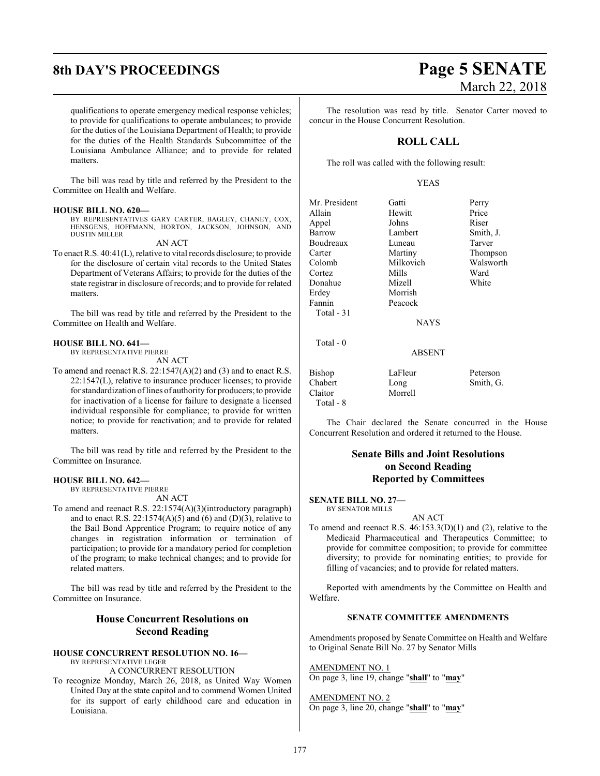# **8th DAY'S PROCEEDINGS Page 5 SENATE**

qualifications to operate emergency medical response vehicles; to provide for qualifications to operate ambulances; to provide for the duties of the Louisiana Department of Health; to provide for the duties of the Health Standards Subcommittee of the Louisiana Ambulance Alliance; and to provide for related matters.

The bill was read by title and referred by the President to the Committee on Health and Welfare.

# **HOUSE BILL NO. 620—**

BY REPRESENTATIVES GARY CARTER, BAGLEY, CHANEY, COX, HENSGENS, HOFFMANN, HORTON, JACKSON, JOHNSON, AND DUSTIN MILLER

AN ACT

To enact R.S. 40:41(L), relative to vital records disclosure; to provide for the disclosure of certain vital records to the United States Department of Veterans Affairs; to provide for the duties of the state registrar in disclosure ofrecords; and to provide for related matters.

The bill was read by title and referred by the President to the Committee on Health and Welfare.

# **HOUSE BILL NO. 641—**

BY REPRESENTATIVE PIERRE

AN ACT

To amend and reenact R.S. 22:1547(A)(2) and (3) and to enact R.S. 22:1547(L), relative to insurance producer licenses; to provide for standardization oflines of authority for producers; to provide for inactivation of a license for failure to designate a licensed individual responsible for compliance; to provide for written notice; to provide for reactivation; and to provide for related matters.

The bill was read by title and referred by the President to the Committee on Insurance.

# **HOUSE BILL NO. 642—**

BY REPRESENTATIVE PIERRE AN ACT

To amend and reenact R.S. 22:1574(A)(3)(introductory paragraph) and to enact R.S. 22:1574(A)(5) and (6) and (D)(3), relative to the Bail Bond Apprentice Program; to require notice of any changes in registration information or termination of participation; to provide for a mandatory period for completion of the program; to make technical changes; and to provide for related matters.

The bill was read by title and referred by the President to the Committee on Insurance.

# **House Concurrent Resolutions on Second Reading**

# **HOUSE CONCURRENT RESOLUTION NO. 16—** BY REPRESENTATIVE LEGER

A CONCURRENT RESOLUTION

To recognize Monday, March 26, 2018, as United Way Women United Day at the state capitol and to commend Women United for its support of early childhood care and education in Louisiana.

# March 22, 2018

The resolution was read by title. Senator Carter moved to concur in the House Concurrent Resolution.

# **ROLL CALL**

The roll was called with the following result:

# YEAS

| Mr. President | Gatti         | Perry     |
|---------------|---------------|-----------|
| Allain        | Hewitt        | Price     |
| Appel         | Johns         | Riser     |
| Barrow        | Lambert       | Smith, J. |
| Boudreaux     | Luneau        | Tarver    |
| Carter        | Martiny       | Thompson  |
| Colomb        | Milkovich     | Walsworth |
| Cortez        | Mills         | Ward      |
| Donahue       | Mizell        | White     |
| Erdey         | Morrish       |           |
| Fannin        | Peacock       |           |
| Total - 31    |               |           |
|               | <b>NAYS</b>   |           |
| Total $-0$    |               |           |
|               | <b>ABSENT</b> |           |
| Bishop        | LaFleur       | Peterson  |
| Chabert       | Long          | Smith, G. |
| Claitor       | Morrell       |           |

Total - 8

The Chair declared the Senate concurred in the House Concurrent Resolution and ordered it returned to the House.

# **Senate Bills and Joint Resolutions on Second Reading Reported by Committees**

# **SENATE BILL NO. 27—**

BY SENATOR MILLS

# AN ACT

To amend and reenact R.S. 46:153.3(D)(1) and (2), relative to the Medicaid Pharmaceutical and Therapeutics Committee; to provide for committee composition; to provide for committee diversity; to provide for nominating entities; to provide for filling of vacancies; and to provide for related matters.

Reported with amendments by the Committee on Health and Welfare.

# **SENATE COMMITTEE AMENDMENTS**

Amendments proposed by Senate Committee on Health and Welfare to Original Senate Bill No. 27 by Senator Mills

# AMENDMENT NO. 1

On page 3, line 19, change "**shall**" to "**may**"

# AMENDMENT NO. 2 On page 3, line 20, change "**shall**" to "**may**"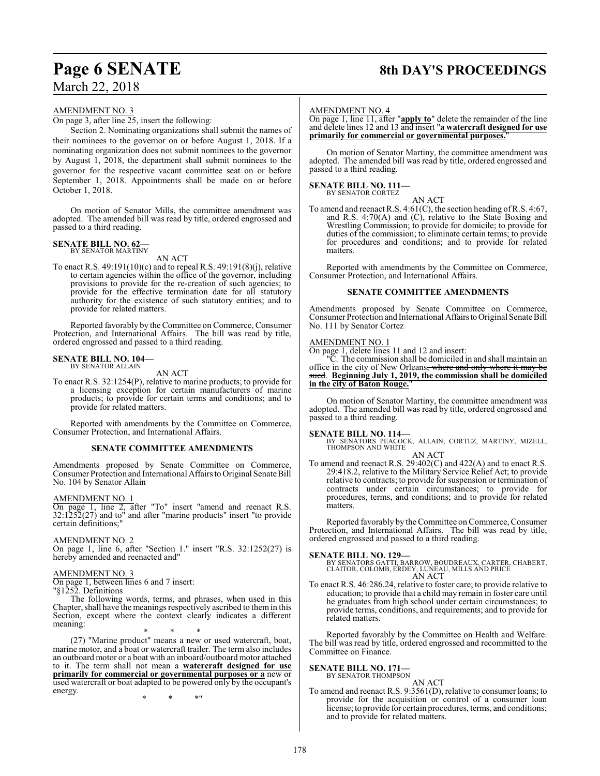# **Page 6 SENATE 8th DAY'S PROCEEDINGS**

# AMENDMENT NO. 3

On page 3, after line 25, insert the following:

Section 2. Nominating organizations shall submit the names of their nominees to the governor on or before August 1, 2018. If a nominating organization does not submit nominees to the governor by August 1, 2018, the department shall submit nominees to the governor for the respective vacant committee seat on or before September 1, 2018. Appointments shall be made on or before October 1, 2018.

On motion of Senator Mills, the committee amendment was adopted. The amended bill was read by title, ordered engrossed and passed to a third reading.

# **SENATE BILL NO. 62—** BY SENATOR MARTINY

AN ACT

To enact R.S. 49:191(10)(c) and to repeal R.S. 49:191(8)(j), relative to certain agencies within the office of the governor, including provisions to provide for the re-creation of such agencies; to provide for the effective termination date for all statutory authority for the existence of such statutory entities; and to provide for related matters.

Reported favorably by theCommittee on Commerce, Consumer Protection, and International Affairs. The bill was read by title, ordered engrossed and passed to a third reading.

#### **SENATE BILL NO. 104—** BY SENATOR ALLAIN

AN ACT

To enact R.S. 32:1254(P), relative to marine products; to provide for a licensing exception for certain manufacturers of marine products; to provide for certain terms and conditions; and to provide for related matters.

Reported with amendments by the Committee on Commerce, Consumer Protection, and International Affairs.

# **SENATE COMMITTEE AMENDMENTS**

Amendments proposed by Senate Committee on Commerce, Consumer Protection and International Affairs to Original Senate Bill No. 104 by Senator Allain

# AMENDMENT NO. 1

On page 1, line 2, after "To" insert "amend and reenact R.S. 32:1252(27) and to" and after "marine products" insert "to provide certain definitions;"

# AMENDMENT NO. 2

On page 1, line 6, after "Section 1." insert "R.S. 32:1252(27) is hereby amended and reenacted and"

# AMENDMENT NO. 3

On page 1, between lines 6 and 7 insert:

"§1252. Definitions

The following words, terms, and phrases, when used in this Chapter, shall have the meanings respectively ascribed to themin this Section, except where the context clearly indicates a different meaning:

\* \* \*

(27) "Marine product" means a new or used watercraft, boat, marine motor, and a boat or watercraft trailer. The term also includes an outboard motor or a boat with an inboard/outboard motor attached to it. The term shall not mean a **watercraft designed for use primarily for commercial or governmental purposes or a** new or used watercraft or boat adapted to be powered only by the occupant's energy.

\* \* \*"

# AMENDMENT NO. 4

On page 1, line 11, after "**apply to**" delete the remainder of the line and delete lines 12 and 13 and insert "**a watercraft designed for use primarily for commercial or governmental purposes.**"

On motion of Senator Martiny, the committee amendment was adopted. The amended bill was read by title, ordered engrossed and passed to a third reading.

#### **SENATE BILL NO. 111—** BY SENATOR CORTEZ

AN ACT

To amend and reenact R.S. 4:61(C), the section heading ofR.S. 4:67, and R.S. 4:70(A) and (C), relative to the State Boxing and Wrestling Commission; to provide for domicile; to provide for duties of the commission; to eliminate certain terms; to provide for procedures and conditions; and to provide for related matters.

Reported with amendments by the Committee on Commerce, Consumer Protection, and International Affairs.

# **SENATE COMMITTEE AMENDMENTS**

Amendments proposed by Senate Committee on Commerce, Consumer Protection and International AffairstoOriginal Senate Bill No. 111 by Senator Cortez

# AMENDMENT NO. 1

On page 1, delete lines 11 and 12 and insert:

"C. The commission shall be domiciled in and shall maintain an office in the city of New Orleans, where and only where it may be sued. **Beginning July 1, 2019, the commission shall be domiciled in the city of Baton Rouge.**"

On motion of Senator Martiny, the committee amendment was adopted. The amended bill was read by title, ordered engrossed and passed to a third reading.

# **SENATE BILL NO. 114—**

BY SENATORS PEACOCK, ALLAIN, CORTEZ, MARTINY, MIZELL, THOMPSON AND WHITE AN ACT

## To amend and reenact R.S. 29:402(C) and 422(A) and to enact R.S. 29:418.2, relative to the Military Service Relief Act; to provide relative to contracts; to provide for suspension or termination of contracts under certain circumstances; to provide for procedures, terms, and conditions; and to provide for related matters.

Reported favorably by the Committee on Commerce, Consumer Protection, and International Affairs. The bill was read by title, ordered engrossed and passed to a third reading.

# **SENATE BILL NO. 129—**

BY SENATORS GATTI, BARROW, BOUDREAUX, CARTER, CHABERT, CLAITOR, COLOMB, ERDEY, LUNEAU, MILLS AND PRICE AN ACT

To enact R.S. 46:286.24, relative to foster care; to provide relative to education; to provide that a child may remain in foster care until he graduates from high school under certain circumstances; to provide terms, conditions, and requirements; and to provide for related matters.

Reported favorably by the Committee on Health and Welfare. The bill was read by title, ordered engrossed and recommitted to the Committee on Finance.

# **SENATE BILL NO. 171—**<br>BY SENATOR THOMPSON

- AN ACT To amend and reenact R.S. 9:3561(D), relative to consumer loans; to
- provide for the acquisition or control of a consumer loan license; to provide for certain procedures, terms, and conditions; and to provide for related matters.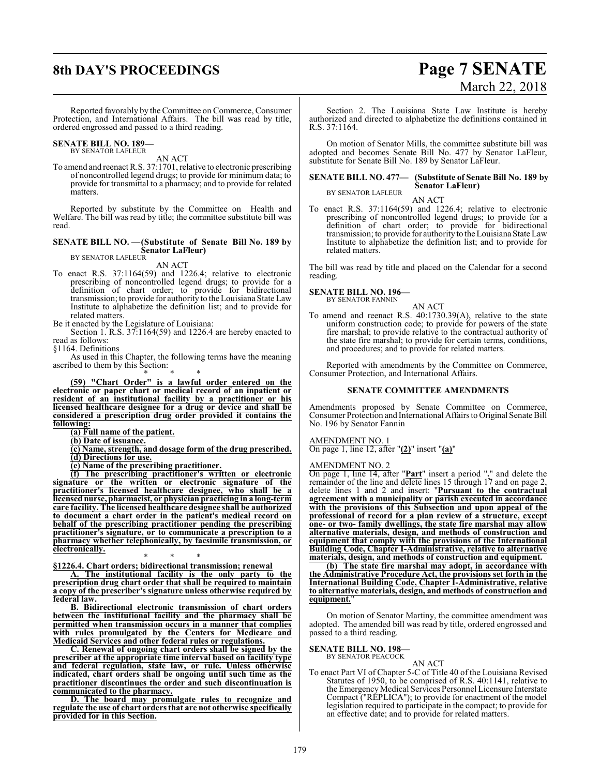# **8th DAY'S PROCEEDINGS Page 7 SENATE**

# March 22, 2018

Reported favorably by theCommittee on Commerce, Consumer Protection, and International Affairs. The bill was read by title, ordered engrossed and passed to a third reading.

#### **SENATE BILL NO. 189—** BY SENATOR LAFLEUR

AN ACT

To amend and reenact R.S. 37:1701, relative to electronic prescribing of noncontrolled legend drugs; to provide for minimum data; to provide for transmittal to a pharmacy; and to provide for related matters.

Reported by substitute by the Committee on Health and Welfare. The bill was read by title; the committee substitute bill was read.

# **SENATE BILL NO. —(Substitute of Senate Bill No. 189 by Senator LaFleur)** BY SENATOR LAFLEUR AN ACT

To enact R.S. 37:1164(59) and 1226.4; relative to electronic prescribing of noncontrolled legend drugs; to provide for a definition of chart order; to provide for bidirectional transmission; to provide for authority to the Louisiana State Law Institute to alphabetize the definition list; and to provide for related matters.

Be it enacted by the Legislature of Louisiana:

Section 1. R.S. 37:1164(59) and 1226.4 are hereby enacted to read as follows:

§1164. Definitions

As used in this Chapter, the following terms have the meaning ascribed to them by this Section:

\* \* \* **(59) "Chart Order" is a lawful order entered on the electronic or paper chart or medical record of an inpatient or resident of an institutional facility by a practitioner or his licensed healthcare designee for a drug or device and shall be considered a prescription drug order provided it contains the following:**

**(a) Full name of the patient.**

**(b) Date of issuance.**

**(c) Name, strength, and dosage form of the drug prescribed. (d) Directions for use.**

**(e) Name of the prescribing practitioner.**

**(f) The prescribing practitioner's written or electronic signature or the written or electronic signature of the practitioner's licensed healthcare designee, who shall be a licensed nurse, pharmacist, or physician practicing in a long-term care facility. The licensed healthcare designee shall be authorized to document a chart order in the patient's medical record on behalf of the prescribing practitioner pending the prescribing practitioner's signature, or to communicate a prescription to a pharmacy whether telephonically, by facsimile transmission, or electronically.**

\* \* \* **§1226.4. Chart orders; bidirectional transmission; renewal**

**A. The institutional facility is the only party to the prescription drug chart order that shall be required to maintain a copy of the prescriber's signature unless otherwise required by federal law.**

**B. Bidirectional electronic transmission of chart orders between the institutional facility and the pharmacy shall be permitted when transmission occurs in a manner that complies with rules promulgated by the Centers for Medicare and Medicaid Services and other federal rules or regulations.**

**C. Renewal of ongoing chart orders shall be signed by the prescriber at the appropriate time interval based on facility type and federal regulation, state law, or rule. Unless otherwise indicated, chart orders shall be ongoing until such time as the practitioner discontinues the order and such discontinuation is communicated to the pharmacy.**

**D. The board may promulgate rules to recognize and regulate the use of chart orders that are not otherwise specifically provided for in this Section.**

Section 2. The Louisiana State Law Institute is hereby authorized and directed to alphabetize the definitions contained in R.S. 37:1164.

On motion of Senator Mills, the committee substitute bill was adopted and becomes Senate Bill No. 477 by Senator LaFleur, substitute for Senate Bill No. 189 by Senator LaFleur.

#### **SENATE BILL NO. 477— (Substitute of Senate Bill No. 189 by Senator LaFleur)** BY SENATOR LAFLEUR

AN ACT

To enact R.S. 37:1164(59) and 1226.4; relative to electronic prescribing of noncontrolled legend drugs; to provide for a definition of chart order; to provide for bidirectional transmission; to provide for authority to the Louisiana State Law Institute to alphabetize the definition list; and to provide for related matters.

The bill was read by title and placed on the Calendar for a second reading.

**SENATE BILL NO. 196—** BY SENATOR FANNIN

AN ACT

To amend and reenact R.S. 40:1730.39(A), relative to the state uniform construction code; to provide for powers of the state fire marshal; to provide relative to the contractual authority of the state fire marshal; to provide for certain terms, conditions, and procedures; and to provide for related matters.

Reported with amendments by the Committee on Commerce, Consumer Protection, and International Affairs.

## **SENATE COMMITTEE AMENDMENTS**

Amendments proposed by Senate Committee on Commerce, Consumer Protection and International Affairs to Original Senate Bill No. 196 by Senator Fannin

AMENDMENT NO. 1

On page 1, line 12, after "**(2)**" insert "**(a)**"

# AMENDMENT NO. 2

On page 1, line 14, after "**Part**" insert a period "**.**" and delete the remainder of the line and delete lines 15 through 17 and on page 2, delete lines 1 and 2 and insert: "**Pursuant to the contractual agreement with a municipality or parish executed in accordance with the provisions of this Subsection and upon appeal of the professional of record for a plan review of a structure, except one- or two- family dwellings, the state fire marshal may allow alternative materials, design, and methods of construction and equipment that comply with the provisions of the International Building Code, Chapter I-Administrative, relative to alternative materials, design, and methods of construction and equipment.**

**(b) The state fire marshal may adopt, in accordance with the Administrative Procedure Act, the provisions set forth in the International Building Code, Chapter I-Administrative, relative to alternative materials, design, and methods of construction and <u>equipment.</u>** 

On motion of Senator Martiny, the committee amendment was adopted. The amended bill was read by title, ordered engrossed and passed to a third reading.

**SENATE BILL NO. 198—**

BY SENATOR PEACOCK

AN ACT To enact Part VI of Chapter 5-C of Title 40 of the Louisiana Revised Statutes of 1950, to be comprised of R.S. 40:1141, relative to the Emergency Medical Services Personnel Licensure Interstate Compact ("REPLICA"); to provide for enactment of the model legislation required to participate in the compact; to provide for an effective date; and to provide for related matters.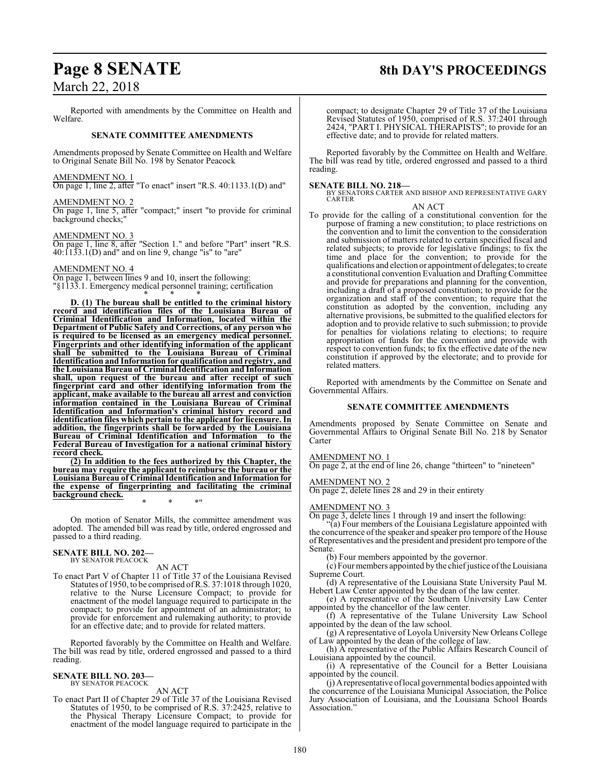# **Page 8 SENATE 8th DAY'S PROCEEDINGS**

March 22, 2018

Reported with amendments by the Committee on Health and Welfare.

# **SENATE COMMITTEE AMENDMENTS**

Amendments proposed by Senate Committee on Health and Welfare to Original Senate Bill No. 198 by Senator Peacock

# AMENDMENT NO. 1

On page 1, line 2, after "To enact" insert "R.S. 40:1133.1(D) and"

# AMENDMENT NO. 2

On page 1, line 5, after "compact;" insert "to provide for criminal background checks;"

# AMENDMENT NO. 3

On page 1, line 8, after "Section 1." and before "Part" insert "R.S.  $40:1133.1(D)$  and" and on line 9, change "is" to "are"

# AMENDMENT NO. 4

On page 1, between lines 9 and 10, insert the following: "§1133.1. Emergency medical personnel training; certification \* \* \*

**D. (1) The bureau shall be entitled to the criminal history record and identification files of the Louisiana Bureau of Criminal Identification and Information, located within the Department of Public Safety and Corrections, of any person who is required to be licensed as an emergency medical personnel. Fingerprints and other identifying information of the applicant shall be submitted to the Louisiana Bureau of Criminal Identification and Information for qualification and registry, and the Louisiana Bureau of Criminal Identification and Information shall, upon request of the bureau and after receipt of such fingerprint card and other identifying information from the applicant, make available to the bureau all arrest and conviction information contained in the Louisiana Bureau of Criminal Identification and Information's criminal history record and identification files which pertain to the applicant for licensure. In addition, the fingerprints shall be forwarded by the Louisiana Bureau of Criminal Identification and Information to the Federal Bureau of Investigation for a national criminal history record check.**

**(2) In addition to the fees authorized by this Chapter, the bureau may require the applicant to reimburse the bureau or the Louisiana Bureau of Criminal Identification and Information for the expense of fingerprinting and facilitating the criminal background check.** \* \* \*"

On motion of Senator Mills, the committee amendment was adopted. The amended bill was read by title, ordered engrossed and passed to a third reading.

# **SENATE BILL NO. 202—** BY SENATOR PEACOCK

AN ACT

To enact Part V of Chapter 11 of Title 37 of the Louisiana Revised Statutes of 1950, to be comprised ofR.S. 37:1018 through 1020, relative to the Nurse Licensure Compact; to provide for enactment of the model language required to participate in the compact; to provide for appointment of an administrator; to provide for enforcement and rulemaking authority; to provide for an effective date; and to provide for related matters.

Reported favorably by the Committee on Health and Welfare. The bill was read by title, ordered engrossed and passed to a third reading.

# **SENATE BILL NO. 203—** BY SENATOR PEACOCK

AN ACT

To enact Part II of Chapter 29 of Title 37 of the Louisiana Revised Statutes of 1950, to be comprised of R.S. 37:2425, relative to the Physical Therapy Licensure Compact; to provide for enactment of the model language required to participate in the

compact; to designate Chapter 29 of Title 37 of the Louisiana Revised Statutes of 1950, comprised of R.S. 37:2401 through 2424, "PART I. PHYSICAL THERAPISTS"; to provide for an effective date; and to provide for related matters.

Reported favorably by the Committee on Health and Welfare. The bill was read by title, ordered engrossed and passed to a third reading.

**SENATE BILL NO. 218—** BY SENATORS CARTER AND BISHOP AND REPRESENTATIVE GARY CARTER

# AN ACT

To provide for the calling of a constitutional convention for the purpose of framing a new constitution; to place restrictions on the convention and to limit the convention to the consideration and submission of matters related to certain specified fiscal and related subjects; to provide for legislative findings; to fix the time and place for the convention; to provide for the qualifications and election or appointment of delegates; to create a constitutional convention Evaluation and DraftingCommittee and provide for preparations and planning for the convention, including a draft of a proposed constitution; to provide for the organization and staff of the convention; to require that the constitution as adopted by the convention, including any alternative provisions, be submitted to the qualified electors for adoption and to provide relative to such submission; to provide for penalties for violations relating to elections; to require appropriation of funds for the convention and provide with respect to convention funds; to fix the effective date of the new constitution if approved by the electorate; and to provide for related matters.

Reported with amendments by the Committee on Senate and Governmental Affairs.

# **SENATE COMMITTEE AMENDMENTS**

Amendments proposed by Senate Committee on Senate and Governmental Affairs to Original Senate Bill No. 218 by Senator Carter

# AMENDMENT NO. 1

On page 2, at the end of line 26, change "thirteen" to "nineteen"

# AMENDMENT NO. 2

On page 2, delete lines 28 and 29 in their entirety

# AMENDMENT NO. 3

On page 3, delete lines 1 through 19 and insert the following:

"(a) Four members of the Louisiana Legislature appointed with the concurrence of the speaker and speaker pro tempore of the House ofRepresentatives and the president and president pro tempore ofthe Senate.

(b) Four members appointed by the governor.

(c) Four members appointed by the chiefjustice ofthe Louisiana Supreme Court.

(d) A representative of the Louisiana State University Paul M. Hebert Law Center appointed by the dean of the law center.

(e) A representative of the Southern University Law Center appointed by the chancellor of the law center.

(f) A representative of the Tulane University Law School appointed by the dean of the law school.

(g) A representative of Loyola University New Orleans College of Law appointed by the dean of the college of law.

(h) A representative of the Public Affairs Research Council of Louisiana appointed by the council.

(i) A representative of the Council for a Better Louisiana appointed by the council.

(j) Arepresentative oflocal governmental bodies appointed with the concurrence of the Louisiana Municipal Association, the Police Jury Association of Louisiana, and the Louisiana School Boards Association.'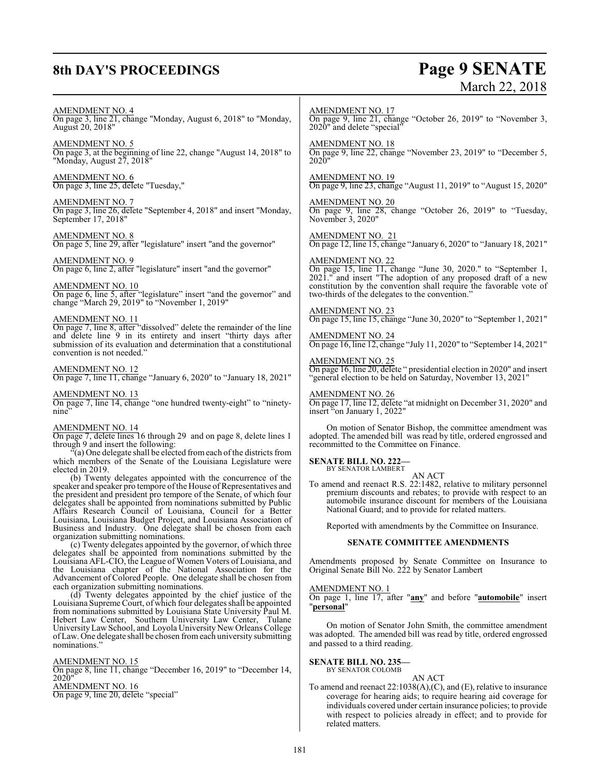# **8th DAY'S PROCEEDINGS Page 9 SENATE**

# March 22, 2018

# AMENDMENT NO. 4

On page 3, line 21, change "Monday, August 6, 2018" to "Monday, August 20, 2018"

AMENDMENT NO. 5 On page 3, at the beginning of line 22, change "August 14, 2018" to "Monday, August 27, 2018"

AMENDMENT NO. 6 On page 3, line 25, delete "Tuesday,"

AMENDMENT NO. 7 On page 3, line 26, delete "September 4, 2018" and insert "Monday, September 17, 2018"

AMENDMENT NO. 8 On page 5, line 29, after "legislature" insert "and the governor"

# AMENDMENT NO. 9

On page 6, line 2, after "legislature" insert "and the governor"

AMENDMENT NO. 10 On page 6, line 5, after "legislature" insert "and the governor" and change "March 29, 2019" to "November 1, 2019"

# AMENDMENT NO. 11

On page 7, line 8, after "dissolved" delete the remainder of the line and delete line 9 in its entirety and insert "thirty days after submission of its evaluation and determination that a constitutional convention is not needed."

### AMENDMENT NO. 12

On page 7, line 11, change "January 6, 2020" to "January 18, 2021"

### AMENDMENT NO. 13

On page 7, line 14, change "one hundred twenty-eight" to "ninetynine"

# AMENDMENT NO. 14

On page 7, delete lines 16 through 29 and on page 8, delete lines 1 through 9 and insert the following:

 $\mathcal{F}(a)$  One delegate shall be elected from each of the districts from which members of the Senate of the Louisiana Legislature were elected in 2019.

(b) Twenty delegates appointed with the concurrence of the speaker and speaker pro tempore of the House of Representatives and the president and president pro tempore of the Senate, of which four delegates shall be appointed from nominations submitted by Public Affairs Research Council of Louisiana, Council for a Better Louisiana, Louisiana Budget Project, and Louisiana Association of Business and Industry. One delegate shall be chosen from each organization submitting nominations.

(c) Twenty delegates appointed by the governor, of which three delegates shall be appointed from nominations submitted by the Louisiana AFL-CIO, the League of Women Voters of Louisiana, and the Louisiana chapter of the National Association for the Advancement of Colored People. One delegate shall be chosen from each organization submitting nominations.

(d) Twenty delegates appointed by the chief justice of the Louisiana Supreme Court, of which four delegates shall be appointed from nominations submitted by Louisiana State University Paul M. Hebert Law Center, Southern University Law Center, Tulane UniversityLaw School, and Loyola University New OrleansCollege ofLaw. One delegate shall be chosen fromeach university submitting nominations."

# AMENDMENT NO. 15

On page 8, line 11, change "December 16, 2019" to "December 14, 2020" AMENDMENT NO. 16

On page 9, line 20, delete "special"

AMENDMENT NO. 17 On page 9, line 21, change "October 26, 2019" to "November 3, 2020" and delete "special"

AMENDMENT NO. 18 On page 9, line 22, change "November 23, 2019" to "December 5, 2020"

AMENDMENT NO. 19 On page 9, line 23, change "August 11, 2019" to "August 15, 2020"

AMENDMENT NO. 20 On page 9, line 28, change "October 26, 2019" to "Tuesday, November 3, 2020"

AMENDMENT NO. 21 On page 12, line 15, change "January 6, 2020" to "January 18, 2021"

# AMENDMENT NO. 22

On page 15, line 11, change "June 30, 2020." to "September 1, 2021." and insert "The adoption of any proposed draft of a new constitution by the convention shall require the favorable vote of two-thirds of the delegates to the convention."

# AMENDMENT NO. 23

On page 15, line 15, change "June 30, 2020" to "September 1, 2021"

AMENDMENT NO. 24 On page 16, line 12, change "July 11, 2020" to "September 14, 2021"

# AMENDMENT NO. 25

On page 16, line 20, delete " presidential election in 2020" and insert "general election to be held on Saturday, November 13, 2021"

# AMENDMENT NO. 26

On page 17, line 12, delete "at midnight on December 31, 2020" and insert "on January 1, 2022"

On motion of Senator Bishop, the committee amendment was adopted. The amended bill was read by title, ordered engrossed and recommitted to the Committee on Finance.

# **SENATE BILL NO. 222—** BY SENATOR LAMBERT

AN ACT To amend and reenact R.S. 22:1482, relative to military personnel premium discounts and rebates; to provide with respect to an automobile insurance discount for members of the Louisiana National Guard; and to provide for related matters.

Reported with amendments by the Committee on Insurance.

# **SENATE COMMITTEE AMENDMENTS**

Amendments proposed by Senate Committee on Insurance to Original Senate Bill No. 222 by Senator Lambert

# AMENDMENT NO. 1

On page 1, line 17, after "**any**" and before "**automobile**" insert "**personal**"

On motion of Senator John Smith, the committee amendment was adopted. The amended bill was read by title, ordered engrossed and passed to a third reading.

# **SENATE BILL NO. 235—**

BY SENATOR COLOMB

# AN ACT

To amend and reenact 22:1038(A),(C), and (E), relative to insurance coverage for hearing aids; to require hearing aid coverage for individuals covered under certain insurance policies; to provide with respect to policies already in effect; and to provide for related matters.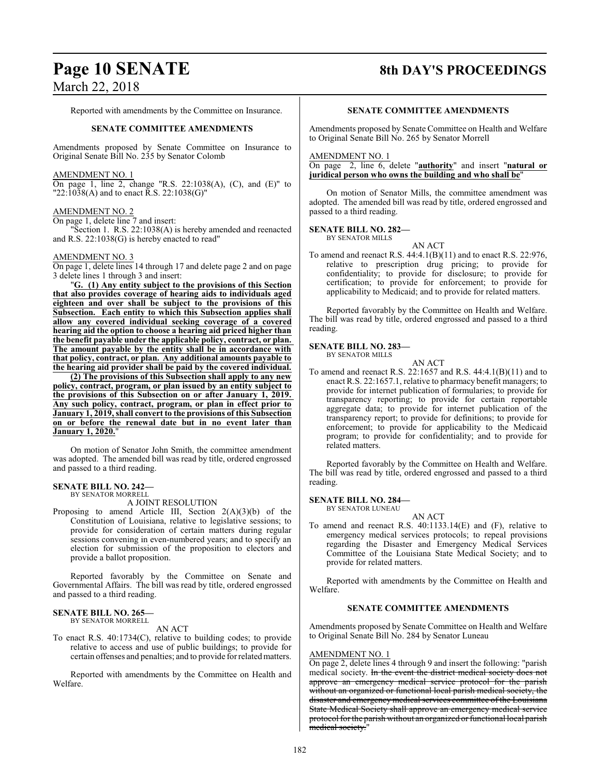# **Page 10 SENATE 8th DAY'S PROCEEDINGS**

Reported with amendments by the Committee on Insurance.

# **SENATE COMMITTEE AMENDMENTS**

Amendments proposed by Senate Committee on Insurance to Original Senate Bill No. 235 by Senator Colomb

# AMENDMENT NO. 1

On page 1, line 2, change "R.S. 22:1038(A), (C), and (E)" to "22:1038(A) and to enact R.S. 22:1038(G)"

# AMENDMENT NO. 2

On page 1, delete line 7 and insert:

"Section 1. R.S. 22:1038(A) is hereby amended and reenacted and R.S. 22:1038(G) is hereby enacted to read"

# AMENDMENT NO. 3

On page 1, delete lines 14 through 17 and delete page 2 and on page 3 delete lines 1 through 3 and insert:

"**G. (1) Any entity subject to the provisions of this Section that also provides coverage of hearing aids to individuals aged eighteen and over shall be subject to the provisions of this Subsection. Each entity to which this Subsection applies shall allow any covered individual seeking coverage of a covered hearing aid the option to choose a hearing aid priced higher than the benefit payable under the applicable policy, contract, or plan. The amount payable by the entity shall be in accordance with that policy, contract, or plan. Any additional amounts payable to the hearing aid provider shall be paid by the covered individual.**

**(2) The provisions of this Subsection shall apply to any new policy, contract, program, or plan issued by an entity subject to the provisions of this Subsection on or after January 1, 2019. Any such policy, contract, program, or plan in effect prior to January 1, 2019, shall convert to the provisions of this Subsection on or before the renewal date but in no event later than January 1, 2020.**"

On motion of Senator John Smith, the committee amendment was adopted. The amended bill was read by title, ordered engrossed and passed to a third reading.

#### **SENATE BILL NO. 242—** BY SENATOR MORRELL

A JOINT RESOLUTION

Proposing to amend Article III, Section  $2(A)(3)(b)$  of the Constitution of Louisiana, relative to legislative sessions; to provide for consideration of certain matters during regular sessions convening in even-numbered years; and to specify an election for submission of the proposition to electors and provide a ballot proposition.

Reported favorably by the Committee on Senate and Governmental Affairs. The bill was read by title, ordered engrossed and passed to a third reading.

### **SENATE BILL NO. 265—** BY SENATOR MORRELL

AN ACT

To enact R.S. 40:1734(C), relative to building codes; to provide relative to access and use of public buildings; to provide for certain offenses and penalties; and to provide for relatedmatters.

Reported with amendments by the Committee on Health and Welfare.

# **SENATE COMMITTEE AMENDMENTS**

Amendments proposed by Senate Committee on Health and Welfare to Original Senate Bill No. 265 by Senator Morrell

# AMENDMENT NO. 1

On page 2, line 6, delete "**authority**" and insert "**natural or juridical person who owns the building and who shall be**"

On motion of Senator Mills, the committee amendment was adopted. The amended bill was read by title, ordered engrossed and passed to a third reading.

**SENATE BILL NO. 282—** BY SENATOR MILLS

AN ACT

To amend and reenact R.S. 44:4.1(B)(11) and to enact R.S. 22:976, relative to prescription drug pricing; to provide for confidentiality; to provide for disclosure; to provide for certification; to provide for enforcement; to provide for applicability to Medicaid; and to provide for related matters.

Reported favorably by the Committee on Health and Welfare. The bill was read by title, ordered engrossed and passed to a third reading.

# **SENATE BILL NO. 283—**

BY SENATOR MILLS

AN ACT To amend and reenact R.S. 22:1657 and R.S. 44:4.1(B)(11) and to enact R.S. 22:1657.1, relative to pharmacy benefit managers; to provide for internet publication of formularies; to provide for transparency reporting; to provide for certain reportable aggregate data; to provide for internet publication of the transparency report; to provide for definitions; to provide for enforcement; to provide for applicability to the Medicaid program; to provide for confidentiality; and to provide for

Reported favorably by the Committee on Health and Welfare. The bill was read by title, ordered engrossed and passed to a third reading.

# **SENATE BILL NO. 284—**

related matters.

BY SENATOR LUNEAU

provide for related matters.

AN ACT To amend and reenact R.S. 40:1133.14(E) and (F), relative to emergency medical services protocols; to repeal provisions regarding the Disaster and Emergency Medical Services Committee of the Louisiana State Medical Society; and to

Reported with amendments by the Committee on Health and Welfare.

# **SENATE COMMITTEE AMENDMENTS**

Amendments proposed by Senate Committee on Health and Welfare to Original Senate Bill No. 284 by Senator Luneau

# AMENDMENT NO. 1

On page 2, delete lines 4 through 9 and insert the following: "parish medical society. In the event the district medical society does not approve an emergency medical service protocol for the parish without an organized or functional local parish medical society, the disaster and emergency medical services committee of the Louisiana State Medical Society shall approve an emergency medical service protocol for the parish without an organized or functional local parish medical society."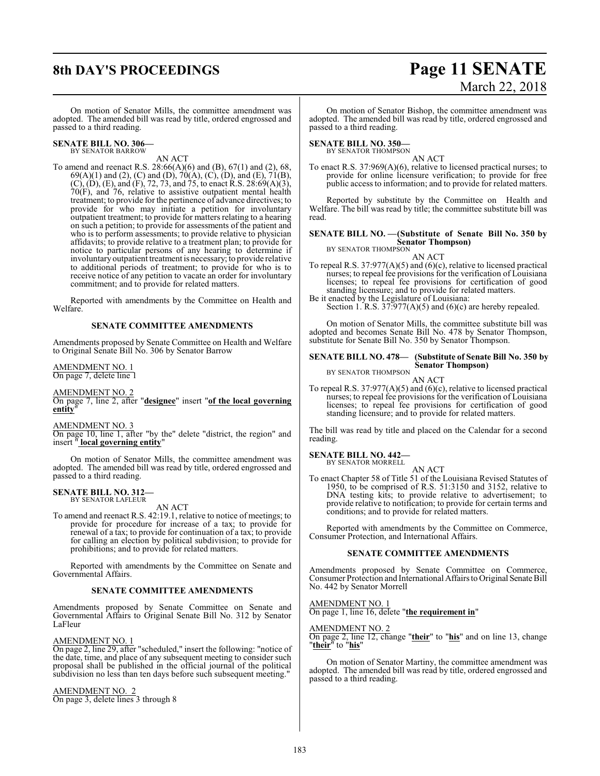# **8th DAY'S PROCEEDINGS Page 11 SENATE**

# March 22, 2018

On motion of Senator Mills, the committee amendment was adopted. The amended bill was read by title, ordered engrossed and passed to a third reading.

#### **SENATE BILL NO. 306—** BY SENATOR BARROW

AN ACT

To amend and reenact R.S. 28:66(A)(6) and (B), 67(1) and (2), 68, 69(A)(1) and (2), (C) and (D), 70(A), (C), (D), and (E), 71(B),  $(C)$ ,  $(D)$ ,  $(E)$ , and  $(F)$ , 72, 73, and 75, to enact R.S. 28:69(A)(3), 70(F), and 76, relative to assistive outpatient mental health treatment; to provide for the pertinence of advance directives; to provide for who may initiate a petition for involuntary outpatient treatment; to provide for matters relating to a hearing on such a petition; to provide for assessments of the patient and who is to perform assessments; to provide relative to physician affidavits; to provide relative to a treatment plan; to provide for notice to particular persons of any hearing to determine if involuntary outpatient treatment is necessary; to provide relative to additional periods of treatment; to provide for who is to receive notice of any petition to vacate an order for involuntary commitment; and to provide for related matters.

Reported with amendments by the Committee on Health and Welfare.

# **SENATE COMMITTEE AMENDMENTS**

Amendments proposed by Senate Committee on Health and Welfare to Original Senate Bill No. 306 by Senator Barrow

AMENDMENT NO. 1 On page 7, delete line 1

AMENDMENT NO. 2

On page 7, line 2, after "**designee**" insert "**of the local governing entity**"

AMENDMENT NO. 3

On page 10, line 1, after "by the" delete "district, the region" and insert " **local governing entity**"

On motion of Senator Mills, the committee amendment was adopted. The amended bill was read by title, ordered engrossed and passed to a third reading.

# **SENATE BILL NO. 312—** BY SENATOR LAFLEUR

AN ACT

To amend and reenact R.S. 42:19.1, relative to notice of meetings; to provide for procedure for increase of a tax; to provide for renewal of a tax; to provide for continuation of a tax; to provide for calling an election by political subdivision; to provide for prohibitions; and to provide for related matters.

Reported with amendments by the Committee on Senate and Governmental Affairs.

# **SENATE COMMITTEE AMENDMENTS**

Amendments proposed by Senate Committee on Senate and Governmental Affairs to Original Senate Bill No. 312 by Senator LaFleur

# AMENDMENT NO. 1

On page 2, line 29, after "scheduled," insert the following: "notice of the date, time, and place of any subsequent meeting to consider such proposal shall be published in the official journal of the political subdivision no less than ten days before such subsequent meeting."

AMENDMENT NO. 2

On page 3, delete lines 3 through 8

On motion of Senator Bishop, the committee amendment was adopted. The amended bill was read by title, ordered engrossed and passed to a third reading.

# **SENATE BILL NO. 350—**

BY SENATOR THOMPSON

AN ACT To enact R.S. 37:969(A)(6), relative to licensed practical nurses; to provide for online licensure verification; to provide for free public access to information; and to provide for related matters.

Reported by substitute by the Committee on Health and Welfare. The bill was read by title; the committee substitute bill was read.

#### **SENATE BILL NO. —(Substitute of Senate Bill No. 350 by Senator Thompson)** BY SENATOR THOMPSON

AN ACT

To repeal R.S. 37:977(A)(5) and (6)(c), relative to licensed practical nurses; to repeal fee provisions for the verification of Louisiana licenses; to repeal fee provisions for certification of good standing licensure; and to provide for related matters.

Be it enacted by the Legislature of Louisiana: Section 1. R.S.  $37:977(A)(5)$  and  $(6)(c)$  are hereby repealed.

On motion of Senator Mills, the committee substitute bill was adopted and becomes Senate Bill No. 478 by Senator Thompson, substitute for Senate Bill No. 350 by Senator Thompson.

#### **SENATE BILL NO. 478— (Substitute of Senate Bill No. 350 by Senator Thompson)** BY SENATOR THOMPSON

AN ACT

To repeal R.S. 37:977(A)(5) and (6)(c), relative to licensed practical nurses; to repeal fee provisions for the verification of Louisiana licenses; to repeal fee provisions for certification of good standing licensure; and to provide for related matters.

The bill was read by title and placed on the Calendar for a second reading.

# **SENATE BILL NO. 442—**

BY SENATOR MORRELL

AN ACT To enact Chapter 58 of Title 51 of the Louisiana Revised Statutes of 1950, to be comprised of R.S. 51:3150 and 3152, relative to DNA testing kits; to provide relative to advertisement; to provide relative to notification; to provide for certain terms and conditions; and to provide for related matters.

Reported with amendments by the Committee on Commerce, Consumer Protection, and International Affairs.

# **SENATE COMMITTEE AMENDMENTS**

Amendments proposed by Senate Committee on Commerce, Consumer Protection and International Affairs to Original Senate Bill No. 442 by Senator Morrell

AMENDMENT NO. 1

On page 1, line 16, delete "**the requirement in**"

# AMENDMENT NO. 2

On page 2, line 12, change "**their**" to "**his**" and on line 13, change "**their**" to "**his**"

On motion of Senator Martiny, the committee amendment was adopted. The amended bill was read by title, ordered engrossed and passed to a third reading.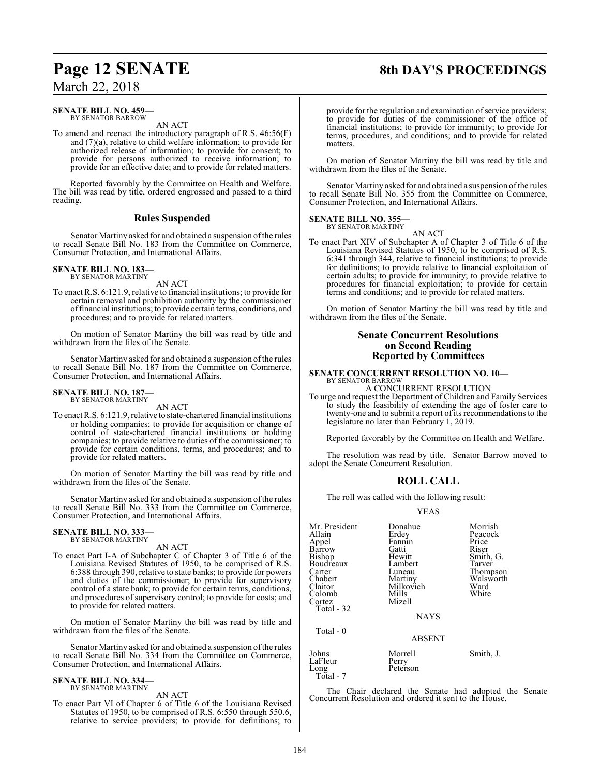#### **SENATE BILL NO. 459—** BY SENATOR BARROW

AN ACT

To amend and reenact the introductory paragraph of R.S. 46:56(F) and (7)(a), relative to child welfare information; to provide for authorized release of information; to provide for consent; to provide for persons authorized to receive information; to provide for an effective date; and to provide for related matters.

Reported favorably by the Committee on Health and Welfare. The bill was read by title, ordered engrossed and passed to a third reading.

# **Rules Suspended**

Senator Martiny asked for and obtained a suspension of the rules to recall Senate Bill No. 183 from the Committee on Commerce, Consumer Protection, and International Affairs.

#### **SENATE BILL NO. 183—** BY SENATOR MARTINY

AN ACT

To enact R.S. 6:121.9, relative to financial institutions; to provide for certain removal and prohibition authority by the commissioner offinancial institutions; to provide certain terms, conditions, and procedures; and to provide for related matters.

On motion of Senator Martiny the bill was read by title and withdrawn from the files of the Senate.

Senator Martiny asked for and obtained a suspension of the rules to recall Senate Bill No. 187 from the Committee on Commerce, Consumer Protection, and International Affairs.

#### **SENATE BILL NO. 187** BY SENATOR MARTINY

AN ACT

To enact R.S. 6:121.9, relative to state-chartered financial institutions or holding companies; to provide for acquisition or change of control of state-chartered financial institutions or holding companies; to provide relative to duties of the commissioner; to provide for certain conditions, terms, and procedures; and to provide for related matters.

On motion of Senator Martiny the bill was read by title and withdrawn from the files of the Senate.

Senator Martiny asked for and obtained a suspension of the rules to recall Senate Bill No. 333 from the Committee on Commerce, Consumer Protection, and International Affairs.

# **SENATE BILL NO. 333—** BY SENATOR MARTINY

AN ACT

To enact Part I-A of Subchapter C of Chapter 3 of Title 6 of the Louisiana Revised Statutes of 1950, to be comprised of R.S. 6:388 through 390, relative to state banks; to provide for powers and duties of the commissioner; to provide for supervisory control of a state bank; to provide for certain terms, conditions, and procedures of supervisory control; to provide for costs; and to provide for related matters.

On motion of Senator Martiny the bill was read by title and withdrawn from the files of the Senate.

Senator Martiny asked for and obtained a suspension of the rules to recall Senate Bill No. 334 from the Committee on Commerce, Consumer Protection, and International Affairs.

#### **SENATE BILL NO. 334—** BY SENATOR MARTINY

AN ACT

To enact Part VI of Chapter 6 of Title 6 of the Louisiana Revised Statutes of 1950, to be comprised of R.S. 6:550 through 550.6, relative to service providers; to provide for definitions; to

provide for the regulation and examination of service providers; to provide for duties of the commissioner of the office of financial institutions; to provide for immunity; to provide for terms, procedures, and conditions; and to provide for related matters.

On motion of Senator Martiny the bill was read by title and withdrawn from the files of the Senate.

Senator Martiny asked for and obtained a suspension of the rules to recall Senate Bill No. 355 from the Committee on Commerce, Consumer Protection, and International Affairs.

#### **SENATE BILL NO. 355—** BY SENATOR MARTINY

AN ACT

To enact Part XIV of Subchapter A of Chapter 3 of Title 6 of the Louisiana Revised Statutes of 1950, to be comprised of R.S. 6:341 through 344, relative to financial institutions; to provide for definitions; to provide relative to financial exploitation of certain adults; to provide for immunity; to provide relative to procedures for financial exploitation; to provide for certain terms and conditions; and to provide for related matters.

On motion of Senator Martiny the bill was read by title and withdrawn from the files of the Senate.

# **Senate Concurrent Resolutions on Second Reading Reported by Committees**

# **SENATE CONCURRENT RESOLUTION NO. 10—** BY SENATOR BARROW

A CONCURRENT RESOLUTION

To urge and request the Department of Children and Family Services to study the feasibility of extending the age of foster care to twenty-one and to submit a report of its recommendations to the legislature no later than February 1, 2019.

Reported favorably by the Committee on Health and Welfare.

The resolution was read by title. Senator Barrow moved to adopt the Senate Concurrent Resolution.

# **ROLL CALL**

The roll was called with the following result:

# YEAS

| Mr. President<br>Allain<br>Appel<br>Barrow<br>Bishop<br>Boudreaux<br>Carter<br>Chabert<br>Claitor<br>Colomb<br>Cortez<br>Total - 32 | Donahue<br>Erdey<br>Fannin<br>Gatti<br>Hewitt<br>Lambert<br>Luneau<br>Martiny<br>Milkovich<br>Mills<br>Mizell<br><b>NAYS</b> | Morrish<br>Peacock<br>Price<br>Riser<br>Smith, G.<br>Tarver<br>Thompson<br>Walsworth<br>Ward<br>White |
|-------------------------------------------------------------------------------------------------------------------------------------|------------------------------------------------------------------------------------------------------------------------------|-------------------------------------------------------------------------------------------------------|
| Total - 0                                                                                                                           | <b>ABSENT</b>                                                                                                                |                                                                                                       |
| Johns<br>LaFleur<br>Long                                                                                                            | Morrell<br>Perry<br>Peterson                                                                                                 | Smith, J.                                                                                             |

The Chair declared the Senate had adopted the Senate Concurrent Resolution and ordered it sent to the House.

# **Page 12 SENATE 8th DAY'S PROCEEDINGS**

Total - 7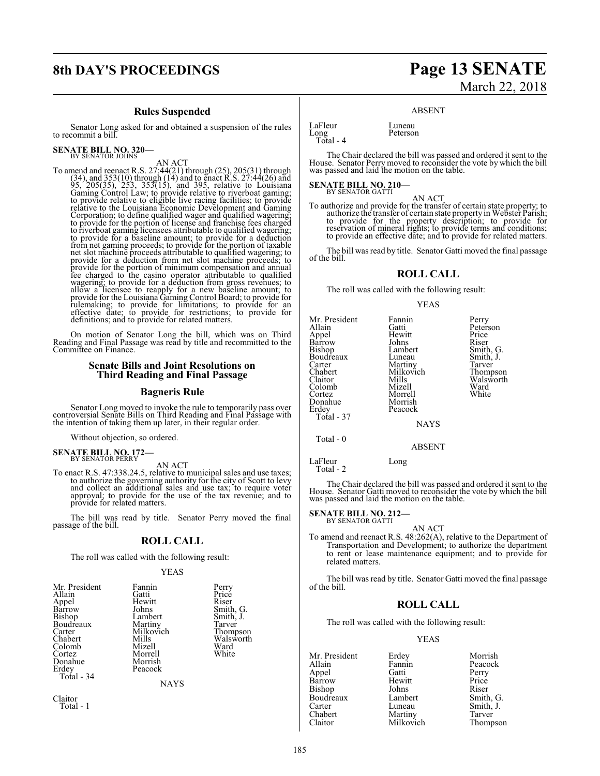# **Rules Suspended**

Senator Long asked for and obtained a suspension of the rules to recommit a bill.

# **SENATE BILL NO. 320—** BY SENATOR JOHNS

AN ACT<br>
To amend and reenact R.S. 27:44(21) through (25), 205(31) through<br>
(34), and 353(10) through (14) and to enact R.S. 27:44(26) and<br>
95, 205(35), 253, 353(15), and 395, relative to Louisiana<br>
Gaming Control Law; to p relative to the Louisiana Economic Development and Gaming<br>Corporation; to define qualified wager and qualified wagering;<br>to provide for the portion of license and franchise fees charged<br>to riverboat gaming licensees attrib to provide for a baseline amount; to provide for a deduction from net gaming proceeds; to provide for the portion of taxable net slot machine proceeds attributable to qualified wagering; to provide for a deduction from net slot machine proceeds; to provide for the portion of minimum compensation and annual<br>fee charged to the casino operator attributable to qualified<br>wagering; to provide for a deduction from gross revenues; to<br>allow a licensee to reapply for a new bas definitions; and to provide for related matters.

On motion of Senator Long the bill, which was on Third Reading and Final Passage was read by title and recommitted to the Committee on Finance.

# **Senate Bills and Joint Resolutions on Third Reading and Final Passage**

# **Bagneris Rule**

Senator Long moved to invoke the rule to temporarily pass over controversial Senate Bills on Third Reading and Final Passage with the intention of taking them up later, in their regular order.

Without objection, so ordered.

**SENATE BILL NO. 172—**<br>BY SENATOR PERRY

AN ACT To enact R.S. 47:338.24.5, relative to municipal sales and use taxes; to authorize the governing authority for the city of Scott to levy and collect an additional sales and use tax; to require voter approval; to provide for the use of the tax revenue; and to provide for related matters.

The bill was read by title. Senator Perry moved the final passage of the bill.

# **ROLL CALL**

The roll was called with the following result:

# YEAS

| Mr. President | Fannin      | Perry     |
|---------------|-------------|-----------|
| Allain        | Gatti       | Price     |
| Appel         | Hewitt      | Riser     |
| Bàrrow        | Johns       | Smith, G. |
| Bishop        | Lambert     | Smith, J. |
| Boudreaux     | Martiny     | Tarver    |
| Carter        | Milkovich   | Thompson  |
| Chabert       | Mills       | Walsworth |
| Colomb        | Mizell      | Ward      |
| Cortez        | Morrell     | White     |
| Donahue       | Morrish     |           |
| Erdey         | Peacock     |           |
| Total - 34    |             |           |
|               | <b>NAYS</b> |           |
| Claitor       |             |           |
| Total - 1     |             |           |

# **8th DAY'S PROCEEDINGS Page 13 SENATE** March 22, 2018

# ABSENT

LaFleur Luneau<br>Long Peterson Long Peterson Total - 4

The Chair declared the bill was passed and ordered it sent to the House. Senator Perry moved to reconsider the vote by which the bill was passed and laid the motion on the table.

# **SENATE BILL NO. 210-**<br>BY SENATOR GATTI

AN ACT To authorize and provide for the transfer of certain state property; to authorize the transfer of certain state property in Webster Parish; to provide for the property description; to provide for reservation of mineral rights; to provide terms and conditions; to provide an effective date; and to provide for related matters.

The bill was read by title. Senator Gatti moved the final passage of the bill.

# **ROLL CALL**

The roll was called with the following result:

YEAS

| Mr. President<br>Allain<br>Appel<br>Barrow<br>Bishop<br>Boudreaux<br>Carter | Fannin<br>Gatti<br>Hewitt<br>Johns<br>Lambert<br>Luneau<br>Martiny | Perry<br>Peterson<br>Price<br>Riser<br>Smith, G.<br>Smith, J.<br>Tarver |
|-----------------------------------------------------------------------------|--------------------------------------------------------------------|-------------------------------------------------------------------------|
|                                                                             |                                                                    |                                                                         |
| Chabert<br>Claitor                                                          | Milkovich<br>Mills                                                 | Thompson<br>Walsworth                                                   |
| Colomb<br>Cortez                                                            | Mizell<br>Morrell                                                  | Ward<br>White                                                           |
| Donahue<br>Erdey                                                            | Morrish<br>Peacock                                                 |                                                                         |
| Total - 37                                                                  | <b>NAYS</b>                                                        |                                                                         |
| Total - 0                                                                   | ABSENT                                                             |                                                                         |

LaFleur Long Total - 2

The Chair declared the bill was passed and ordered it sent to the House. Senator Gatti moved to reconsider the vote by which the bill was passed and laid the motion on the table.

#### **SENATE BILL NO. 212—** BY SENATOR GATTI

AN ACT

To amend and reenact R.S. 48:262(A), relative to the Department of Transportation and Development; to authorize the department to rent or lease maintenance equipment; and to provide for related matters.

The bill was read by title. Senator Gatti moved the final passage of the bill.

# **ROLL CALL**

The roll was called with the following result:

# YEAS

Mr. President Erdey Morrish<br>Allain Fannin Peacock Appel Gatti Perry Barrow Hewitt Price<br>Bishop Johns Riser Bishop Johns Riser<br>Boudreaux Lambert Smith, G. Boudreaux Lambert<br>Carter Luneau Carter Luneau Smith, J. Chabert Martiny<br>Claitor Milkovich

Fannin Peacock<br>Gatti Perry Thompson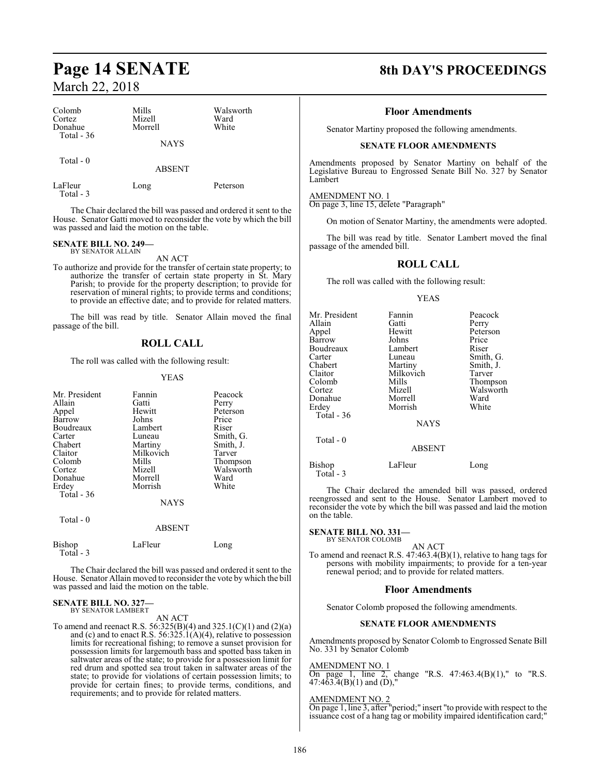| Colomb<br>Cortez<br>Donahue<br>Total - $36$ | Mills<br>Mizell<br>Morrell<br><b>NAYS</b> | Walsworth<br>Ward<br>White |
|---------------------------------------------|-------------------------------------------|----------------------------|
| Total $-0$                                  | <b>ABSENT</b>                             |                            |
| LaFleur<br>Total - 3                        | Long                                      | Peterson                   |

The Chair declared the bill was passed and ordered it sent to the House. Senator Gatti moved to reconsider the vote by which the bill was passed and laid the motion on the table.

# **SENATE BILL NO. 249—** BY SENATOR ALLAIN

AN ACT

To authorize and provide for the transfer of certain state property; to authorize the transfer of certain state property in St. Mary Parish; to provide for the property description; to provide for reservation of mineral rights; to provide terms and conditions; to provide an effective date; and to provide for related matters.

The bill was read by title. Senator Allain moved the final passage of the bill.

# **ROLL CALL**

The roll was called with the following result:

## YEAS

| Mr. President       | Fannin        | Peacock   |
|---------------------|---------------|-----------|
| Allain              | Gatti         | Perry     |
| Appel               | Hewitt        | Peterson  |
| Barrow              | Johns         | Price     |
| Boudreaux           | Lambert       | Riser     |
| Carter              | Luneau        | Smith, G. |
| Chabert             | Martiny       | Smith, J. |
| Claitor             | Milkovich     | Tarver    |
| Colomb              | Mills         | Thompson  |
| Cortez              | Mizell        | Walsworth |
| Donahue             | Morrell       | Ward      |
| Erdey               | Morrish       | White     |
| Total - 36          |               |           |
|                     | <b>NAYS</b>   |           |
| Total $-0$          |               |           |
|                     | <b>ABSENT</b> |           |
| Bishop<br>Total - 3 | LaFleur       | Long      |

The Chair declared the bill was passed and ordered it sent to the House. Senator Allain moved to reconsider the vote by which the bill was passed and laid the motion on the table.

### **SENATE BILL NO. 327—** BY SENATOR LAMBERT

AN ACT

To amend and reenact R.S. 56:325(B)(4) and 325.1(C)(1) and (2)(a) and (c) and to enact R.S. 56:325.1(A)(4), relative to possession limits for recreational fishing; to remove a sunset provision for possession limits for largemouth bass and spotted bass taken in saltwater areas of the state; to provide for a possession limit for red drum and spotted sea trout taken in saltwater areas of the state; to provide for violations of certain possession limits; to provide for certain fines; to provide terms, conditions, and requirements; and to provide for related matters.

# **Page 14 SENATE 8th DAY'S PROCEEDINGS**

# **Floor Amendments**

Senator Martiny proposed the following amendments.

# **SENATE FLOOR AMENDMENTS**

Amendments proposed by Senator Martiny on behalf of the Legislative Bureau to Engrossed Senate Bill No. 327 by Senator Lambert

AMENDMENT NO. 1 On page 3, line 15, delete "Paragraph"

On motion of Senator Martiny, the amendments were adopted.

The bill was read by title. Senator Lambert moved the final passage of the amended bill.

# **ROLL CALL**

The roll was called with the following result:

#### YEAS

| Mr. President<br>Allain<br>Appel<br>Barrow<br>Boudreaux<br>Carter<br>Chabert<br>Claitor<br>Colomb<br>Cortez<br>Donahue<br>Erdev<br>Total - 36<br>Total - 0 | Fannin<br>Gatti<br>Hewitt<br>Johns<br>Lambert<br>Luneau<br>Martiny<br>Milkovich<br>Mills<br>Mizell<br>Morrell<br>Morrish<br><b>NAYS</b> | Peacock<br>Perry<br>Peterson<br>Price<br>Riser<br>Smith, G.<br>Smith, J.<br>Tarver<br>Thompson<br>Walsworth<br>Ward<br>White |
|------------------------------------------------------------------------------------------------------------------------------------------------------------|-----------------------------------------------------------------------------------------------------------------------------------------|------------------------------------------------------------------------------------------------------------------------------|
|                                                                                                                                                            | <b>ABSENT</b>                                                                                                                           |                                                                                                                              |
| Bishop<br>Total $-3$                                                                                                                                       | LaFleur                                                                                                                                 | Long                                                                                                                         |

The Chair declared the amended bill was passed, ordered reengrossed and sent to the House. Senator Lambert moved to reconsider the vote by which the bill was passed and laid the motion on the table.

# **SENATE BILL NO. 331—** BY SENATOR COLOMB

AN ACT

To amend and reenact R.S. 47:463.4(B)(1), relative to hang tags for persons with mobility impairments; to provide for a ten-year renewal period; and to provide for related matters.

### **Floor Amendments**

Senator Colomb proposed the following amendments.

# **SENATE FLOOR AMENDMENTS**

Amendments proposed by Senator Colomb to Engrossed Senate Bill No. 331 by Senator Colomb

# AMENDMENT NO. 1

On page 1, line 2, change "R.S. 47:463.4(B)(1)," to "R.S.  $47:463.4(B)(1)$  and  $(D)$ ,"

# AMENDMENT NO. 2

On page 1, line 3, after "period;" insert "to provide with respect to the issuance cost of a hang tag or mobility impaired identification card;"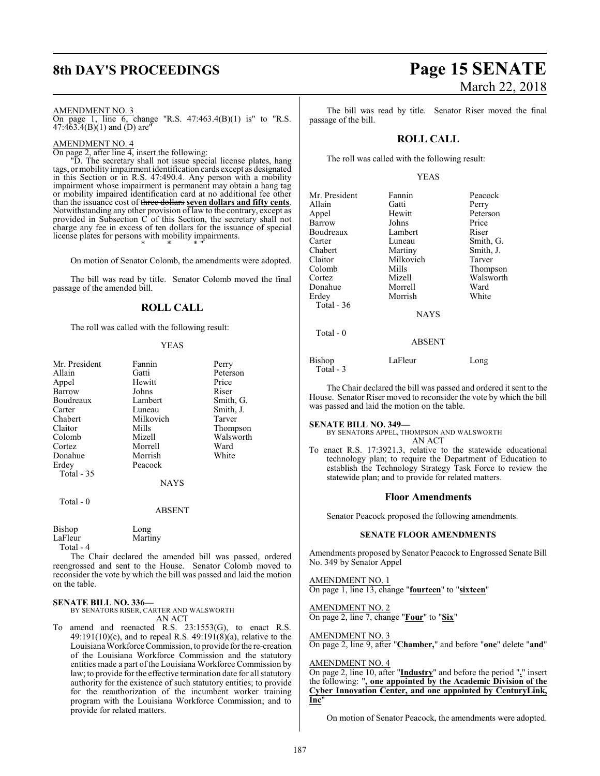# AMENDMENT NO. 3

On page 1, line 6, change "R.S. 47:463.4(B)(1) is" to "R.S. 47:4 $63.4(B)(1)$  and  $(D)$  are<sup>"</sup>

# AMENDMENT NO. 4

On page 2, after line 4, insert the following:

"D. The secretary shall not issue special license plates, hang tags, ormobility impairment identification cards except as designated in this Section or in R.S. 47:490.4. Any person with a mobility impairment whose impairment is permanent may obtain a hang tag or mobility impaired identification card at no additional fee other than the issuance cost of three dollars **seven dollars and fifty cents**. Notwithstanding any other provision of law to the contrary, except as provided in Subsection C of this Section, the secretary shall not charge any fee in excess of ten dollars for the issuance of special license plates for persons with mobility impairments. \* \* \* "

On motion of Senator Colomb, the amendments were adopted.

The bill was read by title. Senator Colomb moved the final passage of the amended bill.

# **ROLL CALL**

The roll was called with the following result:

### YEAS

| Mr. President | Fannin      | Perry     |
|---------------|-------------|-----------|
| Allain        | Gatti       | Peterson  |
| Appel         | Hewitt      | Price     |
| Barrow        | Johns       | Riser     |
| Boudreaux     | Lambert     | Smith, G. |
| Carter        | Luneau      | Smith, J. |
| Chabert       | Milkovich   | Tarver    |
| Claitor       | Mills       | Thompson  |
| Colomb        | Mizell      | Walsworth |
| Cortez        | Morrell     | Ward      |
| Donahue       | Morrish     | White     |
| Erdey         | Peacock     |           |
| Total - 35    |             |           |
|               | <b>NAYS</b> |           |

Total - 0

## ABSENT

| Bishop    | Long    |
|-----------|---------|
| LaFleur   | Martiny |
| Total - 4 |         |

The Chair declared the amended bill was passed, ordered reengrossed and sent to the House. Senator Colomb moved to reconsider the vote by which the bill was passed and laid the motion on the table.

# **SENATE BILL NO. 336—**

BY SENATORS RISER, CARTER AND WALSWORTH AN ACT

To amend and reenacted R.S. 23:1553(G), to enact R.S. 49:191(10)(c), and to repeal R.S. 49:191(8)(a), relative to the LouisianaWorkforce Commission, to provide forthe re-creation of the Louisiana Workforce Commission and the statutory entities made a part of the Louisiana Workforce Commission by law; to provide for the effective termination date for all statutory authority for the existence of such statutory entities; to provide for the reauthorization of the incumbent worker training program with the Louisiana Workforce Commission; and to provide for related matters.

# **8th DAY'S PROCEEDINGS Page 15 SENATE** March 22, 2018

The bill was read by title. Senator Riser moved the final passage of the bill.

# **ROLL CALL**

The roll was called with the following result:

# YEAS

| Mr. President | Fannin        | Peacock   |
|---------------|---------------|-----------|
| Allain        | Gatti         | Perry     |
| Appel         | Hewitt        | Peterson  |
| Barrow        | Johns         | Price     |
| Boudreaux     | Lambert       | Riser     |
| Carter        | Luneau        | Smith, G. |
| Chabert       | Martiny       | Smith, J. |
| Claitor       | Milkovich     | Tarver    |
| Colomb        | Mills         | Thompson  |
| Cortez        | Mizell        | Walsworth |
| Donahue       | Morrell       | Ward      |
| Erdev         | Morrish       | White     |
| Total - $36$  |               |           |
|               | <b>NAYS</b>   |           |
| Total $-0$    |               |           |
|               | <b>ABSENT</b> |           |
|               |               |           |

| Bishop    | LaFleur | Long |
|-----------|---------|------|
| Total - 3 |         |      |

The Chair declared the bill was passed and ordered it sent to the House. Senator Riser moved to reconsider the vote by which the bill was passed and laid the motion on the table.

## **SENATE BILL NO. 349—**

BY SENATORS APPEL, THOMPSON AND WALSWORTH AN ACT

To enact R.S. 17:3921.3, relative to the statewide educational technology plan; to require the Department of Education to establish the Technology Strategy Task Force to review the statewide plan; and to provide for related matters.

# **Floor Amendments**

Senator Peacock proposed the following amendments.

# **SENATE FLOOR AMENDMENTS**

Amendments proposed by Senator Peacock to Engrossed Senate Bill No. 349 by Senator Appel

AMENDMENT NO. 1 On page 1, line 13, change "**fourteen**" to "**sixteen**"

AMENDMENT NO. 2 On page 2, line 7, change "**Four**" to "**Six**"

AMENDMENT NO. 3 On page 2, line 9, after "**Chamber,**" and before "**one**" delete "**and**"

# AMENDMENT NO. 4

On page 2, line 10, after "**Industry**" and before the period "**.**" insert the following: "**, one appointed by the Academic Division of the Cyber Innovation Center, and one appointed by CenturyLink, Inc**"

On motion of Senator Peacock, the amendments were adopted.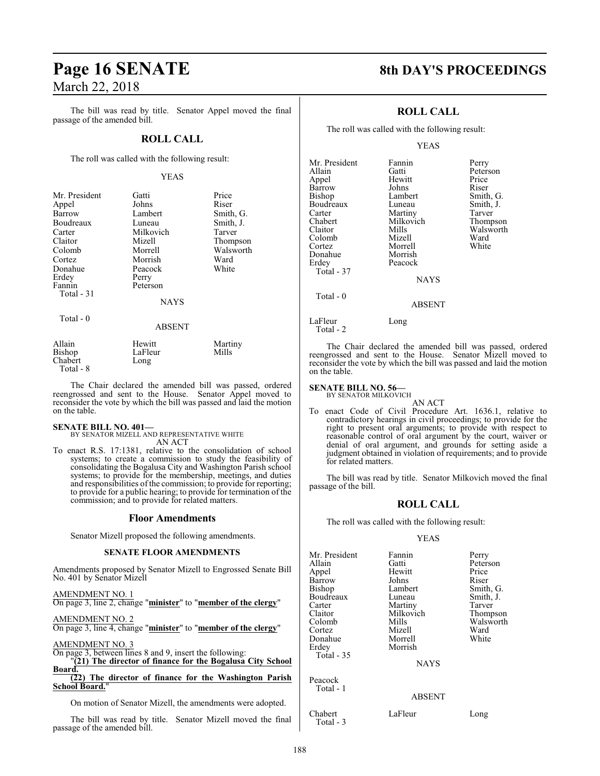The bill was read by title. Senator Appel moved the final passage of the amended bill.

# **ROLL CALL**

The roll was called with the following result:

# YEAS

| Mr. President | Gatti         | Price     |
|---------------|---------------|-----------|
| Appel         | Johns         | Riser     |
| Barrow        | Lambert       | Smith, G. |
| Boudreaux     | Luneau        | Smith, J. |
| Carter        | Milkovich     | Tarver    |
| Claitor       | Mizell        | Thompson  |
| Colomb        | Morrell       | Walsworth |
| Cortez        | Morrish       | Ward      |
| Donahue       | Peacock       | White     |
| Erdey         | Perry         |           |
| Fannin        | Peterson      |           |
| Total - 31    |               |           |
|               | <b>NAYS</b>   |           |
| Total - 0     |               |           |
|               | <b>ABSENT</b> |           |
| Allain        | Hewitt        | Martiny   |
| Bishop        | LaFleur       | Mills     |
| Chabert       | Long          |           |

The Chair declared the amended bill was passed, ordered reengrossed and sent to the House. Senator Appel moved to reconsider the vote by which the bill was passed and laid the motion on the table.

#### **SENATE BILL NO. 401—**

Chabert Total - 8

> BY SENATOR MIZELL AND REPRESENTATIVE WHITE AN ACT

To enact R.S. 17:1381, relative to the consolidation of school systems; to create a commission to study the feasibility of consolidating the Bogalusa City and Washington Parish school systems; to provide for the membership, meetings, and duties and responsibilities of the commission; to provide for reporting; to provide for a public hearing; to provide for termination of the commission; and to provide for related matters.

# **Floor Amendments**

Senator Mizell proposed the following amendments.

### **SENATE FLOOR AMENDMENTS**

Amendments proposed by Senator Mizell to Engrossed Senate Bill No. 401 by Senator Mizell

AMENDMENT NO. 1 On page 3, line 2, change "**minister**" to "**member of the clergy**"

AMENDMENT NO. 2 On page 3, line 4, change "**minister**" to "**member of the clergy**"

AMENDMENT NO. 3

On page 3, between lines 8 and 9, insert the following: "**(21) The director of finance for the Bogalusa City School**

**Board. (22) The director of finance for the Washington Parish School Board.**"

On motion of Senator Mizell, the amendments were adopted.

The bill was read by title. Senator Mizell moved the final passage of the amended bill.

# **Page 16 SENATE 8th DAY'S PROCEEDINGS**

# **ROLL CALL**

The roll was called with the following result:

## YEAS

| Mr. President | Fannin      | Perry     |
|---------------|-------------|-----------|
| Allain        | Gatti       | Peterson  |
| Appel         | Hewitt      | Price     |
| Barrow        | Johns       | Riser     |
| <b>Bishop</b> | Lambert     | Smith, G. |
| Boudreaux     | Luneau      | Smith, J. |
| Carter        | Martiny     | Tarver    |
| Chabert       | Milkovich   | Thompson  |
| Claitor       | Mills       | Walsworth |
| Colomb        | Mizell      | Ward      |
| Cortez        | Morrell     | White     |
| Donahue       | Morrish     |           |
| Erdey         | Peacock     |           |
| Total - 37    |             |           |
|               | <b>NAYS</b> |           |
| Total $-0$    |             |           |
|               | ABSENT      |           |

# ABSENT

LaFleur Long

Total - 2

The Chair declared the amended bill was passed, ordered reengrossed and sent to the House. Senator Mizell moved to reconsider the vote by which the bill was passed and laid the motion on the table.

# **SENATE BILL NO. 56—**<br>BY SENATOR MILKOVICH

AN ACT To enact Code of Civil Procedure Art. 1636.1, relative to contradictory hearings in civil proceedings; to provide for the right to present oral arguments; to provide with respect to reasonable control of oral argument by the court, waiver or denial of oral argument, and grounds for setting aside a judgment obtained in violation of requirements; and to provide for related matters.

The bill was read by title. Senator Milkovich moved the final passage of the bill.

# **ROLL CALL**

The roll was called with the following result:

# YEAS

| Mr. President | Fannin        | Perry     |
|---------------|---------------|-----------|
| Allain        | Gatti         | Peterson  |
| Appel         | Hewitt        | Price     |
| Barrow        | Johns         | Riser     |
| Bishop        | Lambert       | Smith, G. |
| Boudreaux     | Luneau        | Smith, J. |
| Carter        | Martiny       | Tarver    |
| Claitor       | Milkovich     | Thompson  |
| Colomb        | Mills         | Walsworth |
| Cortez        | Mizell        | Ward      |
| Donahue       | Morrell       | White     |
| Erdey         | Morrish       |           |
| Total - 35    |               |           |
|               | <b>NAYS</b>   |           |
| Peacock       |               |           |
| Total - 1     |               |           |
|               | <b>ABSENT</b> |           |
| Chabert       | LaFleur       | Long      |
| Total - 3     |               |           |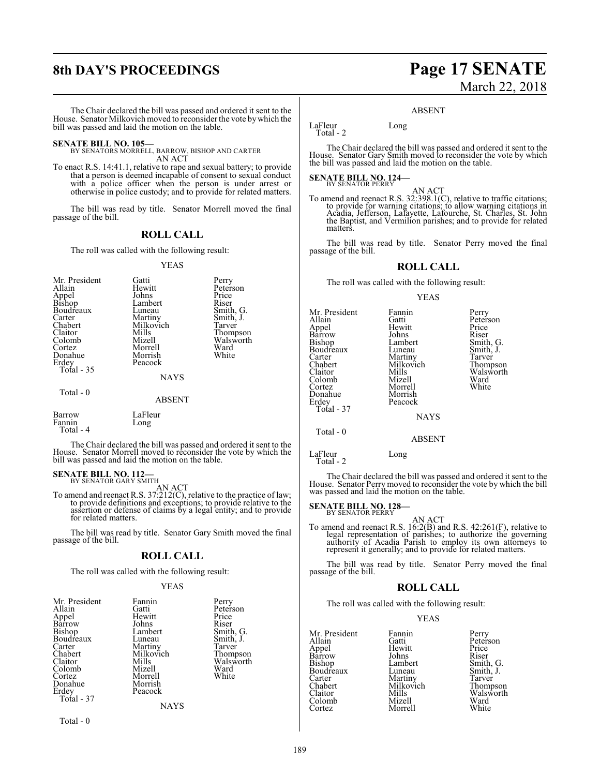The Chair declared the bill was passed and ordered it sent to the House. Senator Milkovich moved to reconsider the vote bywhich the bill was passed and laid the motion on the table.

# **SENATE BILL NO. 105—**

BY SENATORS MORRELL, BARROW, BISHOP AND CARTER AN ACT

To enact R.S. 14:41.1, relative to rape and sexual battery; to provide that a person is deemed incapable of consent to sexual conduct with a police officer when the person is under arrest or otherwise in police custody; and to provide for related matters.

The bill was read by title. Senator Morrell moved the final passage of the bill.

# **ROLL CALL**

The roll was called with the following result:

#### YEAS

| Mr. President<br>Allain<br>Appel<br><b>Bishop</b><br>Boudreaux<br>Carter<br>Chabert<br>Claitor<br>Colomb<br>Cortez<br>Donahue<br>Erdey | Gatti<br>Hewitt<br>Johns<br>Lambert<br>Luneau<br>Martiny<br>Milkovich<br>Mills<br>Mizell<br>Morrell<br>Morrish<br>Peacock | Perry<br>Peterson<br>Price<br>Riser<br>Smith, G.<br>Smith, J.<br>Tarver<br>Thompson<br>Walsworth<br>Ward<br>White |
|----------------------------------------------------------------------------------------------------------------------------------------|---------------------------------------------------------------------------------------------------------------------------|-------------------------------------------------------------------------------------------------------------------|
| Total - 35                                                                                                                             | NAYS                                                                                                                      |                                                                                                                   |
| Total - 0                                                                                                                              | <b>ABSENT</b>                                                                                                             |                                                                                                                   |
| Barrow<br>$E_{nnnin}$                                                                                                                  | LaFleur<br>$\alpha$ n $\alpha$                                                                                            |                                                                                                                   |

Fannin Long Total - 4

The Chair declared the bill was passed and ordered it sent to the House. Senator Morrell moved to reconsider the vote by which the bill was passed and laid the motion on the table.

# **SENATE BILL NO. 112-**<br>BY SENATOR GARY SMITH

AN ACT<br>To amend and reenact R.S. 37:212(C), relative to the practice of law;<br>to provide definitions and exceptions; to provide relative to the<br>assertion or defense of claims by a legal entity; and to provide for related matters.

The bill was read by title. Senator Gary Smith moved the final passage of the bill.

# **ROLL CALL**

The roll was called with the following result:

# YEAS

| Mr. President | Fannin      | Perry                 |
|---------------|-------------|-----------------------|
| Allain        | Gatti       | Peterson              |
| Appel         | Hewitt      | Price                 |
| Barrow        | Johns       | Riser                 |
| Bishop        | Lambert     | Smith, G.             |
| Boudreaux     | Luneau      | Smith, J.             |
| Carter        | Martiny     | Tarver                |
| Chabert       | Milkovich   |                       |
| Claitor       | Mills       | Thompson<br>Walsworth |
| Colomb        | Mizell      | Ward                  |
| Cortez        | Morrell     | White                 |
| Donahue       | Morrish     |                       |
| Erdey         | Peacock     |                       |
| Total - 37    |             |                       |
|               | <b>NAYS</b> |                       |
|               |             |                       |

Total - 0

# **8th DAY'S PROCEEDINGS Page 17 SENATE** March 22, 2018

#### ABSENT

LaFleur Long Total - 2

The Chair declared the bill was passed and ordered it sent to the House. Senator Gary Smith moved to reconsider the vote by which the bill was passed and laid the motion on the table.

# **SENATE BILL NO. 124—** BY SENATOR PERRY

AN ACT<br>To amend and reenact R.S. 32:398.1(C), relative to traffic citations; to provide for warning citations; to allow warning citations in Acadia, Jefferson, Lafayette, Lafourche, St. Charles, St. John the Baptist, and Vermilion parishes; and to provide for related matters.

The bill was read by title. Senator Perry moved the final passage of the bill.

# **ROLL CALL**

The roll was called with the following result:

### YEAS

| Mr. President | Fannin    |           |
|---------------|-----------|-----------|
|               |           | Perry     |
| Allain        | Gatti     | Peterson  |
| Appel         | Hewitt    | Price     |
| Barrow        | Johns     | Riser     |
| Bishop        | Lambert   | Smith, G. |
| Boudreaux     | Luneau    | Smith, J. |
| Carter        | Martiny   | Tarver    |
| Chabert       | Milkovich | Thompson  |
| Claitor       | Mills     | Walswort  |
| Colomb        | Mizell    | Ward      |
| Cortez        | Morrell   | White     |
| Donahue       | Morrish   |           |
| Erdey         | Peacock   |           |
| Total - 37    |           |           |
|               | NAYS      |           |

Peterson Price<br>Riser Thompson Walsworth<br>Ward White

NAYS

### ABSENT

LaFleur Long

Total - 0

Total - 2

The Chair declared the bill was passed and ordered it sent to the House. Senator Perry moved to reconsider the vote by which the bill was passed and laid the motion on the table.

# **SENATE BILL NO. 128-**<br>BY SENATOR PERRY

AN ACT<br>To amend and reenact R.S. 16:2(B) and R.S. 42:261(F), relative to legal representation of parishes; to authorize the governing authority of Acadia Parish to employ its own attorneys to represent it generally; and to provide for related matters.

The bill was read by title. Senator Perry moved the final passage of the bill.

# **ROLL CALL**

The roll was called with the following result:

Morrell

# YEAS

Mr. President Fannin Perry<br>Allain Gatti Peter Allain Gatti Peterson<br>
Appel Hewitt Price Barrow Johns<br>Bishop Lambert Bishop Lambert Smith, G.<br>Boudreaux Luneau Smith, J. Carter Martiny Tarver<br>
Chabert Milkovich Thompson Chabert Milkovich<br>Claitor Mills Colomb Mizell Ward

Hewitt Price<br>
Johns Riser Luneau Smith, J.<br>Martiny Tarver Mills Walsworth<br>
Mizell Ward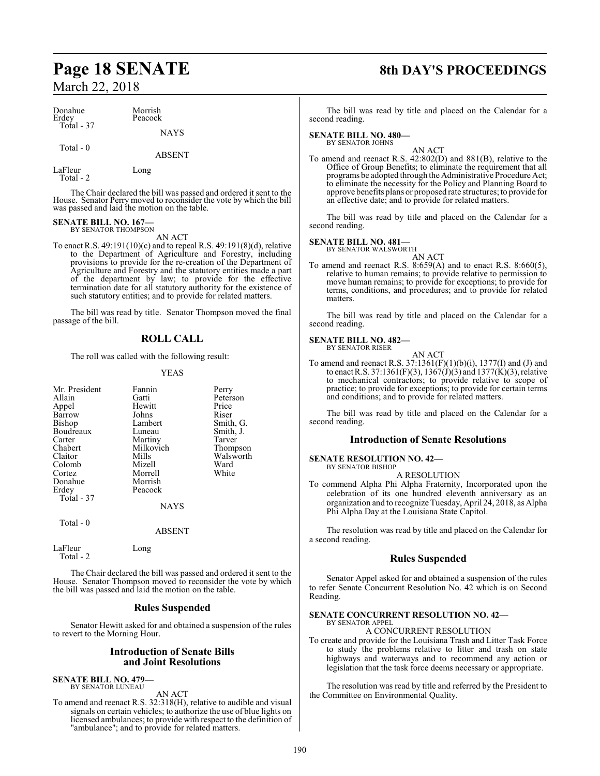| Donahue<br>Erdey | Morrish<br>Peacock |  |
|------------------|--------------------|--|
| Total - 37       | <b>NAYS</b>        |  |
| Total $-0$       |                    |  |

LaFleur Long Total - 2

The Chair declared the bill was passed and ordered it sent to the House. Senator Perry moved to reconsider the vote by which the bill was passed and laid the motion on the table.

ABSENT

#### **SENATE BILL NO. 167—** BY SENATOR THOMPSON

AN ACT

To enact R.S. 49:191(10)(c) and to repeal R.S. 49:191(8)(d), relative to the Department of Agriculture and Forestry, including provisions to provide for the re-creation of the Department of Agriculture and Forestry and the statutory entities made a part of the department by law; to provide for the effective termination date for all statutory authority for the existence of such statutory entities; and to provide for related matters.

The bill was read by title. Senator Thompson moved the final passage of the bill.

# **ROLL CALL**

The roll was called with the following result:

# YEAS

| Mr. President<br>Allain<br>Appel<br>Barrow<br>Bishop<br>Boudreaux<br>Carter<br>Chabert<br>Claitor<br>Colomb<br>Cortez<br>Donahue<br>Erdey<br>Total - 37 | Fannin<br>Gatti<br>Hewitt<br>Johns<br>Lambert<br>Luneau<br>Martiny<br>Milkovich<br>Mills<br>Mizell<br>Morrell<br>Morrish<br>Peacock<br>NAYS | Perry<br>Peterson<br>Price<br>Riser<br>Smith, G.<br>Smith, J.<br>Tarver<br>Thompson<br>Walsworth<br>Ward<br>White |
|---------------------------------------------------------------------------------------------------------------------------------------------------------|---------------------------------------------------------------------------------------------------------------------------------------------|-------------------------------------------------------------------------------------------------------------------|
| Total - 0                                                                                                                                               | <b>ABSENT</b>                                                                                                                               |                                                                                                                   |
| LaFleur<br>Total - 2                                                                                                                                    | Long                                                                                                                                        |                                                                                                                   |

The Chair declared the bill was passed and ordered it sent to the House. Senator Thompson moved to reconsider the vote by which the bill was passed and laid the motion on the table.

# **Rules Suspended**

Senator Hewitt asked for and obtained a suspension of the rules to revert to the Morning Hour.

# **Introduction of Senate Bills and Joint Resolutions**

**SENATE BILL NO. 479—** BY SENATOR LUNEAU

AN ACT

To amend and reenact R.S. 32:318(H), relative to audible and visual signals on certain vehicles; to authorize the use of blue lights on licensed ambulances; to provide with respect to the definition of "ambulance"; and to provide for related matters.

# **Page 18 SENATE 8th DAY'S PROCEEDINGS**

The bill was read by title and placed on the Calendar for a second reading.

#### **SENATE BILL NO. 480—** BY SENATOR JOHNS

AN ACT

To amend and reenact R.S. 42:802(D) and 881(B), relative to the Office of Group Benefits; to eliminate the requirement that all programs be adopted through the Administrative Procedure Act; to eliminate the necessity for the Policy and Planning Board to approve benefits plans or proposed rate structures; to provide for an effective date; and to provide for related matters.

The bill was read by title and placed on the Calendar for a second reading.

# **SENATE BILL NO. 481—**

BY SENATOR WALSWORTH

- AN ACT
- To amend and reenact R.S. 8:659(A) and to enact R.S. 8:660(5), relative to human remains; to provide relative to permission to move human remains; to provide for exceptions; to provide for terms, conditions, and procedures; and to provide for related matters.

The bill was read by title and placed on the Calendar for a second reading.

#### **SENATE BILL NO. 482—** BY SENATOR RISER

AN ACT

To amend and reenact R.S.  $37:1361(F)(1)(b)(i)$ ,  $1377(I)$  and (J) and to enact R.S. 37:1361(F)(3), 1367(J)(3) and 1377(K)(3), relative to mechanical contractors; to provide relative to scope of practice; to provide for exceptions; to provide for certain terms and conditions; and to provide for related matters.

The bill was read by title and placed on the Calendar for a second reading.

# **Introduction of Senate Resolutions**

#### **SENATE RESOLUTION NO. 42—** BY SENATOR BISHOP

A RESOLUTION

To commend Alpha Phi Alpha Fraternity, Incorporated upon the celebration of its one hundred eleventh anniversary as an organization and to recognize Tuesday, April 24, 2018, as Alpha Phi Alpha Day at the Louisiana State Capitol.

The resolution was read by title and placed on the Calendar for a second reading.

# **Rules Suspended**

Senator Appel asked for and obtained a suspension of the rules to refer Senate Concurrent Resolution No. 42 which is on Second Reading.

### **SENATE CONCURRENT RESOLUTION NO. 42—** BY SENATOR APPEL

A CONCURRENT RESOLUTION

To create and provide for the Louisiana Trash and Litter Task Force to study the problems relative to litter and trash on state highways and waterways and to recommend any action or legislation that the task force deems necessary or appropriate.

The resolution was read by title and referred by the President to the Committee on Environmental Quality.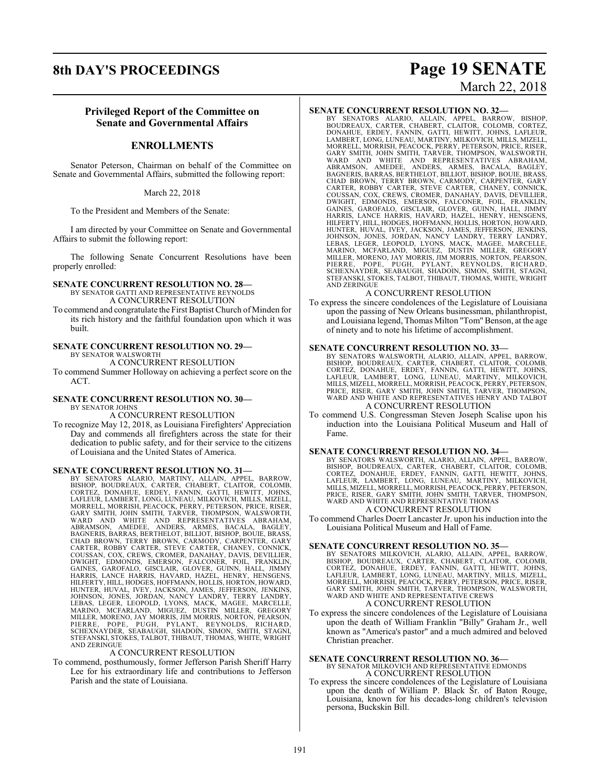# **8th DAY'S PROCEEDINGS Page 19 SENATE**

# March 22, 2018

# **Privileged Report of the Committee on Senate and Governmental Affairs**

# **ENROLLMENTS**

Senator Peterson, Chairman on behalf of the Committee on Senate and Governmental Affairs, submitted the following report:

March 22, 2018

To the President and Members of the Senate:

I am directed by your Committee on Senate and Governmental Affairs to submit the following report:

The following Senate Concurrent Resolutions have been properly enrolled:

# **SENATE CONCURRENT RESOLUTION NO. 28—**

BY SENATOR GATTI AND REPRESENTATIVE REYNOLDS A CONCURRENT RESOLUTION

To commend and congratulate the First Baptist Church of Minden for its rich history and the faithful foundation upon which it was built.

# **SENATE CONCURRENT RESOLUTION NO. 29—** BY SENATOR WALSWORTH

A CONCURRENT RESOLUTION

To commend Summer Holloway on achieving a perfect score on the ACT.

# **SENATE CONCURRENT RESOLUTION NO. 30—** BY SENATOR JOHNS

# A CONCURRENT RESOLUTION

To recognize May 12, 2018, as Louisiana Firefighters' Appreciation Day and commends all firefighters across the state for their dedication to public safety, and for their service to the citizens of Louisiana and the United States of America.

# **SENATE CONCURRENT RESOLUTION NO. 31—**

BY SENATORS ALARIO, MARTINY, ALLAIN, APPEL, BARROW, BISHOP, BOUDREAUX, CARTER, CHABERT, CLAITOR, COLOMB,<br>CORTEZ, DONAHUE, ERDEY, FANNIN, GATTI, HEWITT, JOHNS,<br>LAFLEUR, LAMBERT, LONG, LUNEAU, MILKOVICH, MILLS, MIZELL, MORRELL, MORRISH, PEACOCK, PERRY, PETERSON, PRICE, RISER, GARY SMITH, JOHN SMITH, TARVER, THOMPSON, WALSWORTH,<br>WARD AND WHITE AND REPRESENTATIVES ABRAHAM,<br>ABRAMSON, AMEDEE, ANDERS, ARMES, BACALA, BAGLEY,<br>BAGNERIS, BARRAS, JOHNSON, JONES, JORDAN, NANCY LANDRY, TERRY LANDRY,<br>LEBAS, LEGER, LEOPOLD, LYONS, MACK, MAGEE, MARCELLE,<br>MARINO, MCFARLAND, MIGUEZ, DUSTIN MILLER, GREGORY<br>MILLER, MORENO, JAY MORRIS, JIM MORRIS, NORTON, PEARSON,<br>PIERRE, PO AND ZERINGUE

# A CONCURRENT RESOLUTION

To commend, posthumously, former Jefferson Parish Sheriff Harry Lee for his extraordinary life and contributions to Jefferson Parish and the state of Louisiana.

**SENATE CONCURRENT RESOLUTION NO. 32—**<br>BY SENATORS ALARIO, ALLAIN, APPEL, BARROW, BISHOP, BOUDREAUX, CARTER, CHAINER, TCLAITOR, COLOMB, CORTEZ,<br>DONAHUE, ERDEY, FANNIN, GATTI, HEWITT, JOHNS, LAFLEUR,<br>LAMBERT, LONG, LUNEAU, JOHNSON, JONES, JORDAN, NANCY LANDRY, TERRY LANDRY,<br>LEBAS, LEGER, LEOPOLD, LYONS, MACK, MAGEE, MARCELLE,<br>MARINO, MCFARLAND, MIGUEZ, DUSTIN MILLER, GREGORY<br>MILLER, MORENO, JAY MORRIS, JIM MORRIS, NORTON, PEARSON, PIERRE, POPE, PUGH, PYLANT, REYNOLDS, RICHARD, SCHEXNAYDER, SEABAUGH, SHADOIN, SIMON, SMITH, STAGNI, STEFANSKI, STOKES, TALBOT, THIBAUT, THOMAS, WHITE, WRIGHT AND ZERINGUE

# A CONCURRENT RESOLUTION

To express the sincere condolences of the Legislature of Louisiana upon the passing of New Orleans businessman, philanthropist, and Louisiana legend, Thomas Milton "Tom"Benson, at the age of ninety and to note his lifetime of accomplishment.

# **SENATE CONCURRENT RESOLUTION NO. 33—**

BY SENATORS WALSWORTH, ALARIO, ALLAIN, APPEL, BARROW,<br>BISHOP, BOUDREAUX, CARTER, CHABERT, CLAITOR, COLOMB,<br>CORTEZ, DONAHUE, ERDEY, FANNIN, GATTI, HEWITT, JOHNS,<br>LAFLEUR, LAMBERT, LONG, LUNEAU, MARTINY, MILKOVICH,<br>MILLS,MIZ WARD AND WHITE AND REPRESENTATIVES HENRY AND TALBOT A CONCURRENT RESOLUTION

To commend U.S. Congressman Steven Joseph Scalise upon his induction into the Louisiana Political Museum and Hall of Fame.

# **SENATE CONCURRENT RESOLUTION NO. 34—**

BY SENATORS WALSWORTH, ALARIO, ALLAIN, APPEL, BARROW,<br>BISHOP, BOUDREAUX, CARTER, CHABERT, CLAITOR, COLOMB,<br>CORTEZ, DONAHUE, ERDEY, FANNIN, GATTI, HEWITT, JOHNS,<br>LAFLEUR, LAMBERT, LONG, LUNEAU, MARTINY, MILKOVICH,<br>MILLS,MIZ WARD AND WHITE AND REPRESENTATIVE THOMAS A CONCURRENT RESOLUTION

To commend Charles Doerr Lancaster Jr. upon his induction into the Louisiana Political Museum and Hall of Fame.

# **SENATE CONCURRENT RESOLUTION NO. 35—**

BY SENATORS MILKOVICH, ALARIO, ALLAIN, APPEL, BARROW,<br>BISHOP, BOUDREAUX, CARTER, CHABERT, CLAITOR, COLOMB,<br>CORTEZ, DONAHUE, ERDEY, FANNIN, GATTI, HEWITT, JOHNS,<br>LAFLEUR, LAMBERT, LONG, LUNEAU, MARTINY, MILLS, MIZELL,<br>MORRE A CONCURRENT RESOLUTION

To express the sincere condolences of the Legislature of Louisiana upon the death of William Franklin "Billy" Graham Jr., well known as "America's pastor" and a much admired and beloved Christian preacher.

# **SENATE CONCURRENT RESOLUTION NO. 36—** BY SENATOR MILKOVICH AND REPRESENTATIVE EDMONDS A CONCURRENT RESOLUTION

To express the sincere condolences of the Legislature of Louisiana upon the death of William P. Black Sr. of Baton Rouge, Louisiana, known for his decades-long children's television persona, Buckskin Bill.